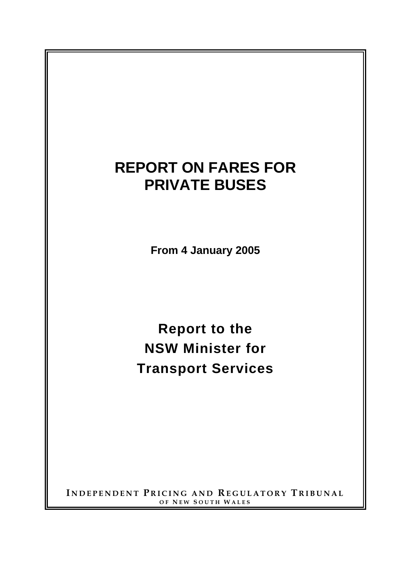# **REPORT ON FARES FOR PRIVATE BUSES**

**From 4 January 2005** 

**Report to the NSW Minister for Transport Services**

**I NDEPENDENT P RICING AND REGULATORY T RIBUNAL OF N EW S OUTH W ALES**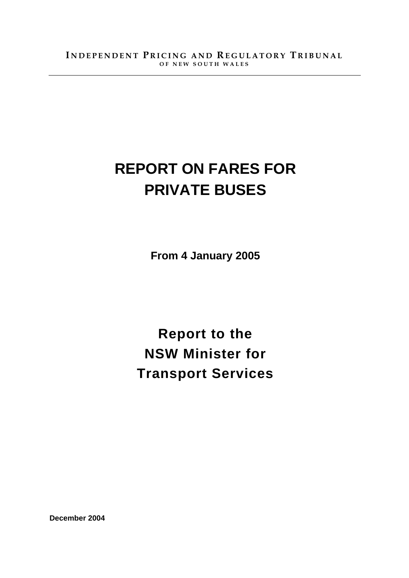# **REPORT ON FARES FOR PRIVATE BUSES**

**From 4 January 2005** 

**Report to the NSW Minister for Transport Services**

**December 2004**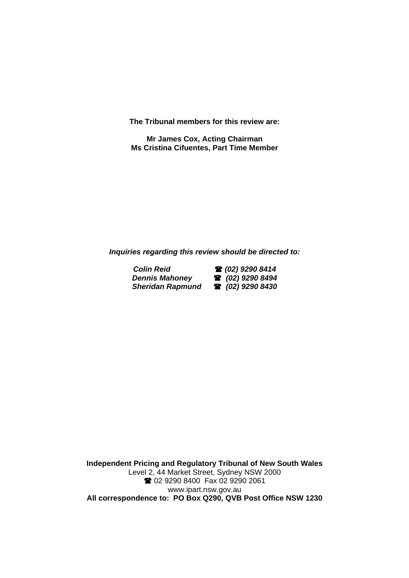**The Tribunal members for this review are:** 

**Mr James Cox, Acting Chairman Ms Cristina Cifuentes, Part Time Member** 

*Inquiries regarding this review should be directed to:* 

**Colin Reid 2 (02) 9290 8414**<br>**Dennis Mahoney 2 (02) 9290 8494**  $D$ ennis Mahoney *Sheridan Rapmund (02) 9290 8430* 

**Independent Pricing and Regulatory Tribunal of New South Wales**  Level 2, 44 Market Street, Sydney NSW 2000 2 02 9290 8400 Fax 02 9290 2061 www.ipart.nsw.gov.au **All correspondence to: PO Box Q290, QVB Post Office NSW 1230**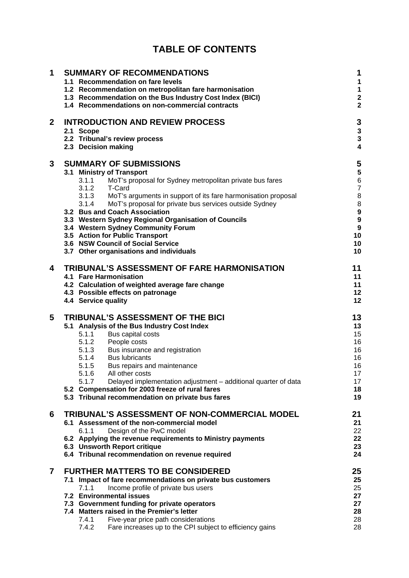| <b>TABLE OF CONTENTS</b> |
|--------------------------|
|--------------------------|

| 1              | <b>SUMMARY OF RECOMMENDATIONS</b><br>1.1 Recommendation on fare levels<br>1.2 Recommendation on metropolitan fare harmonisation<br>1.3 Recommendation on the Bus Industry Cost Index (BICI)<br>1.4 Recommendations on non-commercial contracts |                                                                                                                                                                                                                                                                                                                                                                                                                                                                                                                                                |                                                                                        |  |  |
|----------------|------------------------------------------------------------------------------------------------------------------------------------------------------------------------------------------------------------------------------------------------|------------------------------------------------------------------------------------------------------------------------------------------------------------------------------------------------------------------------------------------------------------------------------------------------------------------------------------------------------------------------------------------------------------------------------------------------------------------------------------------------------------------------------------------------|----------------------------------------------------------------------------------------|--|--|
| $\mathbf{2}$   |                                                                                                                                                                                                                                                | <b>INTRODUCTION AND REVIEW PROCESS</b><br>2.1 Scope<br>2.2 Tribunal's review process<br>2.3 Decision making                                                                                                                                                                                                                                                                                                                                                                                                                                    | 3<br>3<br>3<br>$\overline{\mathbf{4}}$                                                 |  |  |
| 3              |                                                                                                                                                                                                                                                | <b>SUMMARY OF SUBMISSIONS</b><br>3.1 Ministry of Transport<br>MoT's proposal for Sydney metropolitan private bus fares<br>3.1.1<br>3.1.2<br>T-Card<br>3.1.3 MoT's arguments in support of its fare harmonisation proposal<br>3.1.4<br>MoT's proposal for private bus services outside Sydney<br>3.2 Bus and Coach Association<br>3.3 Western Sydney Regional Organisation of Councils<br>3.4 Western Sydney Community Forum<br>3.5 Action for Public Transport<br>3.6 NSW Council of Social Service<br>3.7 Other organisations and individuals | 5<br>5<br>$6\phantom{1}6$<br>$\overline{7}$<br>8<br>8<br>9<br>9<br>9<br>10<br>10<br>10 |  |  |
| 4              |                                                                                                                                                                                                                                                | TRIBUNAL'S ASSESSMENT OF FARE HARMONISATION<br>4.1 Fare Harmonisation<br>4.2 Calculation of weighted average fare change<br>4.3 Possible effects on patronage<br>4.4 Service quality                                                                                                                                                                                                                                                                                                                                                           | 11<br>11<br>11<br>12<br>12                                                             |  |  |
| 5              |                                                                                                                                                                                                                                                | TRIBUNAL'S ASSESSMENT OF THE BICI<br>5.1 Analysis of the Bus Industry Cost Index<br>Bus capital costs<br>5.1.1<br>5.1.2<br>People costs<br>5.1.3 Bus insurance and registration<br>5.1.4 Bus lubricants<br>5.1.5<br>Bus repairs and maintenance<br>5.1.6 All other costs<br>Delayed implementation adjustment - additional quarter of data<br>5.1.7<br>5.2 Compensation for 2003 freeze of rural fares<br>5.3 Tribunal recommendation on private bus fares                                                                                     | 13<br>13<br>15<br>16<br>16<br>16<br>16<br>17<br>17<br>18<br>19                         |  |  |
| 6              |                                                                                                                                                                                                                                                | TRIBUNAL'S ASSESSMENT OF NON-COMMERCIAL MODEL<br>6.1 Assessment of the non-commercial model<br>Design of the PwC model<br>6.1.1<br>6.2 Applying the revenue requirements to Ministry payments<br>6.3 Unsworth Report critique<br>6.4 Tribunal recommendation on revenue required                                                                                                                                                                                                                                                               | 21<br>21<br>22<br>22<br>23<br>24                                                       |  |  |
| $\overline{7}$ |                                                                                                                                                                                                                                                | <b>FURTHER MATTERS TO BE CONSIDERED</b><br>7.1 Impact of fare recommendations on private bus customers<br>7.1.1<br>Income profile of private bus users<br>7.2 Environmental issues<br>7.3 Government funding for private operators<br>7.4 Matters raised in the Premier's letter<br>7.4.1<br>Five-year price path considerations<br>7.4.2<br>Fare increases up to the CPI subject to efficiency gains                                                                                                                                          | 25<br>25<br>25<br>27<br>27<br>28<br>28<br>28                                           |  |  |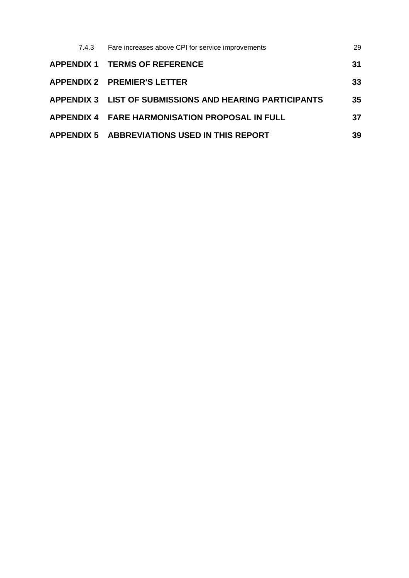| 7.4.3 Fare increases above CPI for service improvements | 29 |
|---------------------------------------------------------|----|
| <b>APPENDIX 1 TERMS OF REFERENCE</b>                    | 31 |
| <b>APPENDIX 2 PREMIER'S LETTER</b>                      | 33 |
| APPENDIX 3 LIST OF SUBMISSIONS AND HEARING PARTICIPANTS | 35 |
| <b>APPENDIX 4 FARE HARMONISATION PROPOSAL IN FULL</b>   | 37 |
| <b>APPENDIX 5 ABBREVIATIONS USED IN THIS REPORT</b>     | 39 |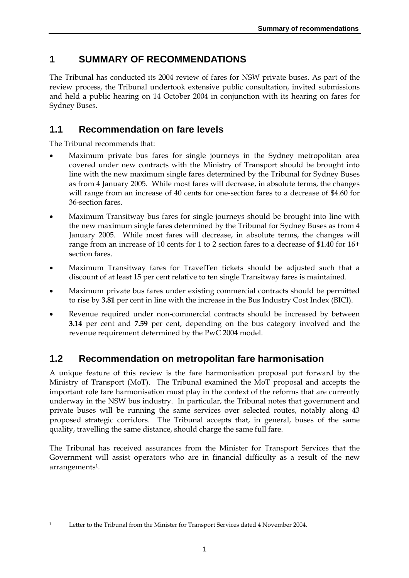# **1 SUMMARY OF RECOMMENDATIONS**

The Tribunal has conducted its 2004 review of fares for NSW private buses. As part of the review process, the Tribunal undertook extensive public consultation, invited submissions and held a public hearing on 14 October 2004 in conjunction with its hearing on fares for Sydney Buses.

# **1.1 Recommendation on fare levels**

The Tribunal recommends that:

- Maximum private bus fares for single journeys in the Sydney metropolitan area covered under new contracts with the Ministry of Transport should be brought into line with the new maximum single fares determined by the Tribunal for Sydney Buses as from 4 January 2005. While most fares will decrease, in absolute terms, the changes will range from an increase of 40 cents for one-section fares to a decrease of \$4.60 for 36-section fares.
- Maximum Transitway bus fares for single journeys should be brought into line with the new maximum single fares determined by the Tribunal for Sydney Buses as from 4 January 2005. While most fares will decrease, in absolute terms, the changes will range from an increase of 10 cents for 1 to 2 section fares to a decrease of \$1.40 for 16+ section fares.
- Maximum Transitway fares for TravelTen tickets should be adjusted such that a discount of at least 15 per cent relative to ten single Transitway fares is maintained.
- Maximum private bus fares under existing commercial contracts should be permitted to rise by **3.81** per cent in line with the increase in the Bus Industry Cost Index (BICI).
- Revenue required under non-commercial contracts should be increased by between **3.14** per cent and **7.59** per cent, depending on the bus category involved and the revenue requirement determined by the PwC 2004 model.

# **1.2 Recommendation on metropolitan fare harmonisation**

A unique feature of this review is the fare harmonisation proposal put forward by the Ministry of Transport (MoT). The Tribunal examined the MoT proposal and accepts the important role fare harmonisation must play in the context of the reforms that are currently underway in the NSW bus industry. In particular, the Tribunal notes that government and private buses will be running the same services over selected routes, notably along 43 proposed strategic corridors. The Tribunal accepts that, in general, buses of the same quality, travelling the same distance, should charge the same full fare.

The Tribunal has received assurances from the Minister for Transport Services that the Government will assist operators who are in financial difficulty as a result of the new arrangements1.

 $\overline{a}$ 1 Letter to the Tribunal from the Minister for Transport Services dated 4 November 2004.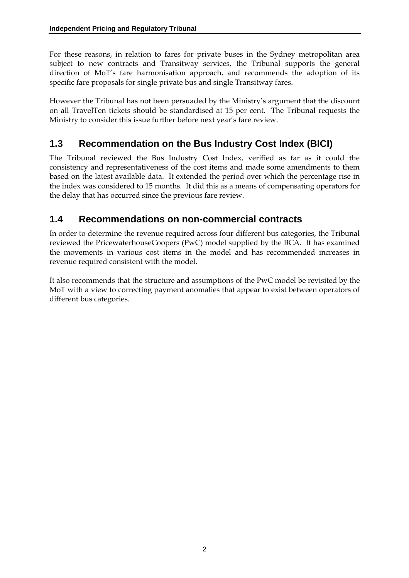For these reasons, in relation to fares for private buses in the Sydney metropolitan area subject to new contracts and Transitway services, the Tribunal supports the general direction of MoT's fare harmonisation approach, and recommends the adoption of its specific fare proposals for single private bus and single Transitway fares.

However the Tribunal has not been persuaded by the Ministry's argument that the discount on all TravelTen tickets should be standardised at 15 per cent. The Tribunal requests the Ministry to consider this issue further before next year's fare review.

# **1.3 Recommendation on the Bus Industry Cost Index (BICI)**

The Tribunal reviewed the Bus Industry Cost Index, verified as far as it could the consistency and representativeness of the cost items and made some amendments to them based on the latest available data. It extended the period over which the percentage rise in the index was considered to 15 months. It did this as a means of compensating operators for the delay that has occurred since the previous fare review.

# **1.4 Recommendations on non-commercial contracts**

In order to determine the revenue required across four different bus categories, the Tribunal reviewed the PricewaterhouseCoopers (PwC) model supplied by the BCA. It has examined the movements in various cost items in the model and has recommended increases in revenue required consistent with the model.

It also recommends that the structure and assumptions of the PwC model be revisited by the MoT with a view to correcting payment anomalies that appear to exist between operators of different bus categories.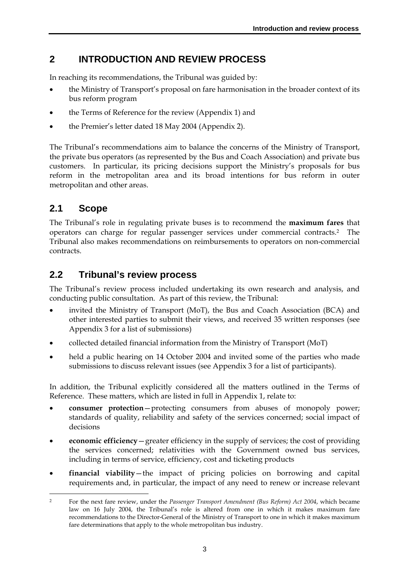# **2 INTRODUCTION AND REVIEW PROCESS**

In reaching its recommendations, the Tribunal was guided by:

- the Ministry of Transport's proposal on fare harmonisation in the broader context of its bus reform program
- the Terms of Reference for the review (Appendix 1) and
- the Premier's letter dated 18 May 2004 (Appendix 2).

The Tribunal's recommendations aim to balance the concerns of the Ministry of Transport, the private bus operators (as represented by the Bus and Coach Association) and private bus customers. In particular, its pricing decisions support the Ministry's proposals for bus reform in the metropolitan area and its broad intentions for bus reform in outer metropolitan and other areas.

# **2.1 Scope**

The Tribunal's role in regulating private buses is to recommend the **maximum fares** that operators can charge for regular passenger services under commercial contracts.2 The Tribunal also makes recommendations on reimbursements to operators on non-commercial contracts.

# **2.2 Tribunal's review process**

The Tribunal's review process included undertaking its own research and analysis, and conducting public consultation. As part of this review, the Tribunal:

- invited the Ministry of Transport (MoT), the Bus and Coach Association (BCA) and other interested parties to submit their views, and received 35 written responses (see Appendix 3 for a list of submissions)
- collected detailed financial information from the Ministry of Transport (MoT)
- held a public hearing on 14 October 2004 and invited some of the parties who made submissions to discuss relevant issues (see Appendix 3 for a list of participants).

In addition, the Tribunal explicitly considered all the matters outlined in the Terms of Reference. These matters, which are listed in full in Appendix 1, relate to:

- **consumer protection**—protecting consumers from abuses of monopoly power; standards of quality, reliability and safety of the services concerned; social impact of decisions
- **economic efficiency**—greater efficiency in the supply of services; the cost of providing the services concerned; relativities with the Government owned bus services, including in terms of service, efficiency, cost and ticketing products
- **financial viability**—the impact of pricing policies on borrowing and capital requirements and, in particular, the impact of any need to renew or increase relevant

 $\overline{a}$ 2 For the next fare review, under the *Passenger Transport Amendment (Bus Reform) Act 2004*, which became law on 16 July 2004, the Tribunal's role is altered from one in which it makes maximum fare recommendations to the Director-General of the Ministry of Transport to one in which it makes maximum fare determinations that apply to the whole metropolitan bus industry.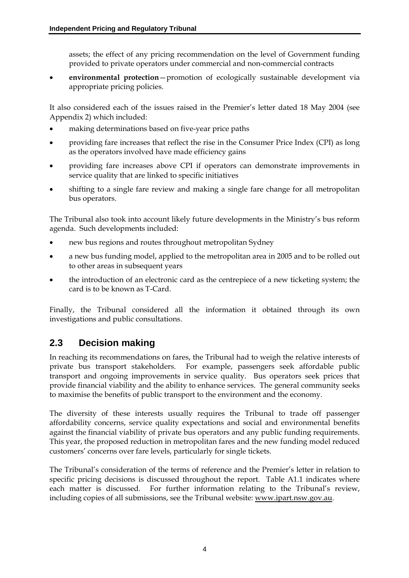assets; the effect of any pricing recommendation on the level of Government funding provided to private operators under commercial and non-commercial contracts

• **environmental protection**—promotion of ecologically sustainable development via appropriate pricing policies.

It also considered each of the issues raised in the Premier's letter dated 18 May 2004 (see Appendix 2) which included:

- making determinations based on five-year price paths
- providing fare increases that reflect the rise in the Consumer Price Index (CPI) as long as the operators involved have made efficiency gains
- providing fare increases above CPI if operators can demonstrate improvements in service quality that are linked to specific initiatives
- shifting to a single fare review and making a single fare change for all metropolitan bus operators.

The Tribunal also took into account likely future developments in the Ministry's bus reform agenda. Such developments included:

- new bus regions and routes throughout metropolitan Sydney
- a new bus funding model, applied to the metropolitan area in 2005 and to be rolled out to other areas in subsequent years
- the introduction of an electronic card as the centrepiece of a new ticketing system; the card is to be known as T-Card.

Finally, the Tribunal considered all the information it obtained through its own investigations and public consultations.

# **2.3 Decision making**

In reaching its recommendations on fares, the Tribunal had to weigh the relative interests of private bus transport stakeholders. For example, passengers seek affordable public transport and ongoing improvements in service quality. Bus operators seek prices that provide financial viability and the ability to enhance services. The general community seeks to maximise the benefits of public transport to the environment and the economy.

The diversity of these interests usually requires the Tribunal to trade off passenger affordability concerns, service quality expectations and social and environmental benefits against the financial viability of private bus operators and any public funding requirements. This year, the proposed reduction in metropolitan fares and the new funding model reduced customers' concerns over fare levels, particularly for single tickets.

The Tribunal's consideration of the terms of reference and the Premier's letter in relation to specific pricing decisions is discussed throughout the report. Table A1.1 indicates where each matter is discussed. For further information relating to the Tribunal's review, including copies of all submissions, see the Tribunal website: www.ipart.nsw.gov.au.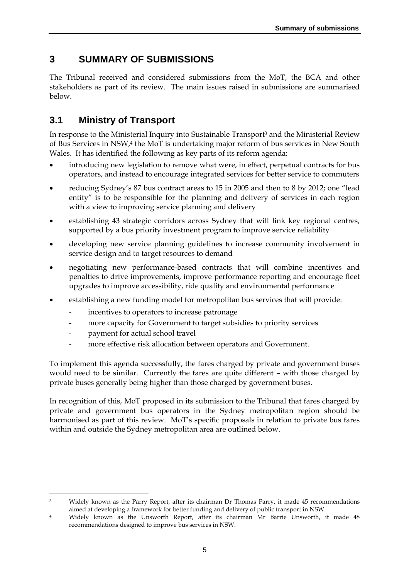# **3 SUMMARY OF SUBMISSIONS**

The Tribunal received and considered submissions from the MoT, the BCA and other stakeholders as part of its review. The main issues raised in submissions are summarised below.

# **3.1 Ministry of Transport**

In response to the Ministerial Inquiry into Sustainable Transport3 and the Ministerial Review of Bus Services in NSW,4 the MoT is undertaking major reform of bus services in New South Wales. It has identified the following as key parts of its reform agenda:

- introducing new legislation to remove what were, in effect, perpetual contracts for bus operators, and instead to encourage integrated services for better service to commuters
- reducing Sydney's 87 bus contract areas to 15 in 2005 and then to 8 by 2012; one "lead entity" is to be responsible for the planning and delivery of services in each region with a view to improving service planning and delivery
- establishing 43 strategic corridors across Sydney that will link key regional centres, supported by a bus priority investment program to improve service reliability
- developing new service planning guidelines to increase community involvement in service design and to target resources to demand
- negotiating new performance-based contracts that will combine incentives and penalties to drive improvements, improve performance reporting and encourage fleet upgrades to improve accessibility, ride quality and environmental performance
- establishing a new funding model for metropolitan bus services that will provide:
	- incentives to operators to increase patronage
	- more capacity for Government to target subsidies to priority services
	- payment for actual school travel
	- more effective risk allocation between operators and Government.

To implement this agenda successfully, the fares charged by private and government buses would need to be similar. Currently the fares are quite different – with those charged by private buses generally being higher than those charged by government buses.

In recognition of this, MoT proposed in its submission to the Tribunal that fares charged by private and government bus operators in the Sydney metropolitan region should be harmonised as part of this review. MoT's specific proposals in relation to private bus fares within and outside the Sydney metropolitan area are outlined below.

 $\overline{a}$ <sup>3</sup> Widely known as the Parry Report, after its chairman Dr Thomas Parry, it made 45 recommendations aimed at developing a framework for better funding and delivery of public transport in NSW.

<sup>4</sup> Widely known as the Unsworth Report, after its chairman Mr Barrie Unsworth, it made 48 recommendations designed to improve bus services in NSW.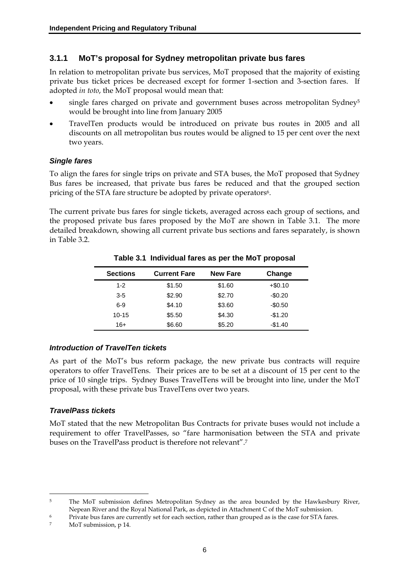#### **3.1.1 MoT's proposal for Sydney metropolitan private bus fares**

In relation to metropolitan private bus services, MoT proposed that the majority of existing private bus ticket prices be decreased except for former 1-section and 3-section fares. If adopted *in toto*, the MoT proposal would mean that:

- single fares charged on private and government buses across metropolitan Sydney<sup>5</sup> would be brought into line from January 2005
- TravelTen products would be introduced on private bus routes in 2005 and all discounts on all metropolitan bus routes would be aligned to 15 per cent over the next two years.

#### *Single fares*

To align the fares for single trips on private and STA buses, the MoT proposed that Sydney Bus fares be increased, that private bus fares be reduced and that the grouped section pricing of the STA fare structure be adopted by private operators<sup>6</sup>.

The current private bus fares for single tickets, averaged across each group of sections, and the proposed private bus fares proposed by the MoT are shown in Table 3.1. The more detailed breakdown, showing all current private bus sections and fares separately, is shown in Table  $3.2<sup>°</sup>$ 

| <b>Sections</b> | <b>Current Fare</b> | <b>New Fare</b> | Change    |
|-----------------|---------------------|-----------------|-----------|
| 1-2             | \$1.50              | \$1.60          | $+ $0.10$ |
| $3 - 5$         | \$2.90              | \$2.70          | $-$0.20$  |
| $6-9$           | \$4.10              | \$3.60          | $-$0.50$  |
| $10 - 15$       | \$5.50              | \$4.30          | $-$1.20$  |
| 16+             | \$6.60              | \$5.20          | $-$1.40$  |

#### **Table 3.1 Individual fares as per the MoT proposal**

#### *Introduction of TravelTen tickets*

As part of the MoT's bus reform package, the new private bus contracts will require operators to offer TravelTens. Their prices are to be set at a discount of 15 per cent to the price of 10 single trips. Sydney Buses TravelTens will be brought into line, under the MoT proposal, with these private bus TravelTens over two years.

#### *TravelPass tickets*

MoT stated that the new Metropolitan Bus Contracts for private buses would not include a requirement to offer TravelPasses, so "fare harmonisation between the STA and private buses on the TravelPass product is therefore not relevant".7

<sup>&</sup>lt;sup>5</sup> The MoT submission defines Metropolitan Sydney as the area bounded by the Hawkesbury River, Nepean River and the Royal National Park, as depicted in Attachment C of the MoT submission.

<sup>6</sup> Private bus fares are currently set for each section, rather than grouped as is the case for STA fares.

<sup>7</sup> MoT submission, p 14.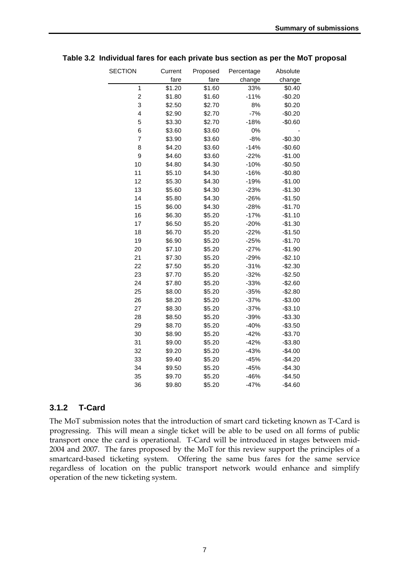| <b>SECTION</b> | Current | Proposed | Percentage | Absolute |
|----------------|---------|----------|------------|----------|
|                | fare    | fare     | change     | change   |
| $\mathbf{1}$   | \$1.20  | \$1.60   | 33%        | \$0.40   |
| $\overline{c}$ | \$1.80  | \$1.60   | $-11%$     | $-$0.20$ |
| 3              | \$2.50  | \$2.70   | 8%         | \$0.20   |
| 4              | \$2.90  | \$2.70   | $-7%$      | $-$0.20$ |
| 5              | \$3.30  | \$2.70   | $-18%$     | $-$0.60$ |
| 6              | \$3.60  | \$3.60   | 0%         |          |
| 7              | \$3.90  | \$3.60   | $-8%$      | $-$0.30$ |
| 8              | \$4.20  | \$3.60   | $-14%$     | $-$0.60$ |
| 9              | \$4.60  | \$3.60   | $-22%$     | $-$1.00$ |
| 10             | \$4.80  | \$4.30   | $-10%$     | $-$0.50$ |
| 11             | \$5.10  | \$4.30   | $-16%$     | $-$0.80$ |
| 12             | \$5.30  | \$4.30   | $-19%$     | $-$1.00$ |
| 13             | \$5.60  | \$4.30   | $-23%$     | $-$1.30$ |
| 14             | \$5.80  | \$4.30   | $-26%$     | $-$1.50$ |
| 15             | \$6.00  | \$4.30   | $-28%$     | $-$1.70$ |
| 16             | \$6.30  | \$5.20   | $-17%$     | $-$1.10$ |
| 17             | \$6.50  | \$5.20   | $-20%$     | $-$1.30$ |
| 18             | \$6.70  | \$5.20   | $-22%$     | $-$1.50$ |
| 19             | \$6.90  | \$5.20   | $-25%$     | $-$1.70$ |
| 20             | \$7.10  | \$5.20   | $-27%$     | $-$1.90$ |
| 21             | \$7.30  | \$5.20   | $-29%$     | $-$2.10$ |
| 22             | \$7.50  | \$5.20   | $-31%$     | $-$2.30$ |
| 23             | \$7.70  | \$5.20   | $-32%$     | $-$2.50$ |
| 24             | \$7.80  | \$5.20   | $-33%$     | $-$2.60$ |
| 25             | \$8.00  | \$5.20   | $-35%$     | $-$2.80$ |
| 26             | \$8.20  | \$5.20   | $-37%$     | $-$3.00$ |
| 27             | \$8.30  | \$5.20   | $-37%$     | $-$3.10$ |
| 28             | \$8.50  | \$5.20   | $-39%$     | $-$3.30$ |
| 29             | \$8.70  | \$5.20   | $-40%$     | $-$3.50$ |
| 30             | \$8.90  | \$5.20   | $-42%$     | $-$3.70$ |
| 31             | \$9.00  | \$5.20   | $-42%$     | $-$3.80$ |
| 32             | \$9.20  | \$5.20   | $-43%$     | $-$4.00$ |
| 33             | \$9.40  | \$5.20   | $-45%$     | $-$4.20$ |
| 34             | \$9.50  | \$5.20   | $-45%$     | $-$4.30$ |
| 35             | \$9.70  | \$5.20   | $-46%$     | $-$4.50$ |
| 36             | \$9.80  | \$5.20   | $-47%$     | $-$4.60$ |

**Table 3.2 Individual fares for each private bus section as per the MoT proposal** 

#### **3.1.2 T-Card**

The MoT submission notes that the introduction of smart card ticketing known as T-Card is progressing. This will mean a single ticket will be able to be used on all forms of public transport once the card is operational. T-Card will be introduced in stages between mid-2004 and 2007. The fares proposed by the MoT for this review support the principles of a smartcard-based ticketing system. Offering the same bus fares for the same service regardless of location on the public transport network would enhance and simplify operation of the new ticketing system.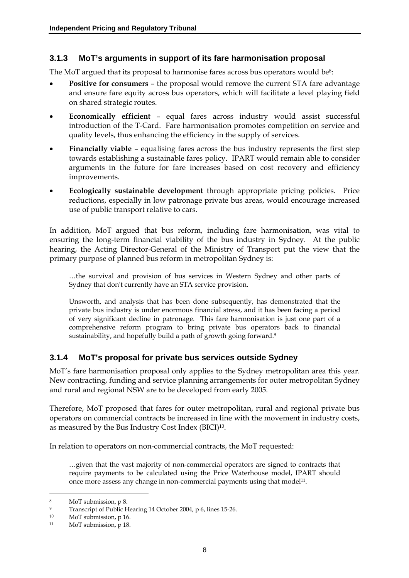### **3.1.3 MoT's arguments in support of its fare harmonisation proposal**

The MoT argued that its proposal to harmonise fares across bus operators would be<sup>8</sup>:

- **Positive for consumers –** the proposal would remove the current STA fare advantage and ensure fare equity across bus operators, which will facilitate a level playing field on shared strategic routes.
- **Economically efficient** equal fares across industry would assist successful introduction of the T-Card. Fare harmonisation promotes competition on service and quality levels, thus enhancing the efficiency in the supply of services.
- **Financially viable**  equalising fares across the bus industry represents the first step towards establishing a sustainable fares policy. IPART would remain able to consider arguments in the future for fare increases based on cost recovery and efficiency improvements.
- **Ecologically sustainable development** through appropriate pricing policies. Price reductions, especially in low patronage private bus areas, would encourage increased use of public transport relative to cars.

In addition, MoT argued that bus reform, including fare harmonisation, was vital to ensuring the long-term financial viability of the bus industry in Sydney. At the public hearing, the Acting Director-General of the Ministry of Transport put the view that the primary purpose of planned bus reform in metropolitan Sydney is:

…the survival and provision of bus services in Western Sydney and other parts of Sydney that don't currently have an STA service provision.

Unsworth, and analysis that has been done subsequently, has demonstrated that the private bus industry is under enormous financial stress, and it has been facing a period of very significant decline in patronage. This fare harmonisation is just one part of a comprehensive reform program to bring private bus operators back to financial sustainability, and hopefully build a path of growth going forward.<sup>9</sup>

### **3.1.4 MoT's proposal for private bus services outside Sydney**

MoT's fare harmonisation proposal only applies to the Sydney metropolitan area this year. New contracting, funding and service planning arrangements for outer metropolitan Sydney and rural and regional NSW are to be developed from early 2005.

Therefore, MoT proposed that fares for outer metropolitan, rural and regional private bus operators on commercial contracts be increased in line with the movement in industry costs, as measured by the Bus Industry Cost Index (BICI)10.

In relation to operators on non-commercial contracts, the MoT requested:

…given that the vast majority of non-commercial operators are signed to contracts that require payments to be calculated using the Price Waterhouse model, IPART should once more assess any change in non-commercial payments using that model<sup>11</sup>.

<sup>8</sup> MoT submission, p 8.

<sup>9</sup> Transcript of Public Hearing 14 October 2004, p 6, lines 15-26.

<sup>10</sup> MoT submission, p 16.

<sup>11</sup> MoT submission, p 18.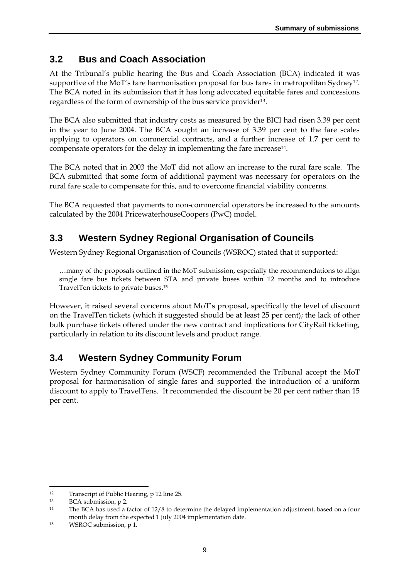# **3.2 Bus and Coach Association**

At the Tribunal's public hearing the Bus and Coach Association (BCA) indicated it was supportive of the MoT's fare harmonisation proposal for bus fares in metropolitan Sydney<sup>12</sup>. The BCA noted in its submission that it has long advocated equitable fares and concessions regardless of the form of ownership of the bus service provider13.

The BCA also submitted that industry costs as measured by the BICI had risen 3.39 per cent in the year to June 2004. The BCA sought an increase of 3.39 per cent to the fare scales applying to operators on commercial contracts, and a further increase of 1.7 per cent to compensate operators for the delay in implementing the fare increase14.

The BCA noted that in 2003 the MoT did not allow an increase to the rural fare scale. The BCA submitted that some form of additional payment was necessary for operators on the rural fare scale to compensate for this, and to overcome financial viability concerns.

The BCA requested that payments to non-commercial operators be increased to the amounts calculated by the 2004 PricewaterhouseCoopers (PwC) model.

# **3.3 Western Sydney Regional Organisation of Councils**

Western Sydney Regional Organisation of Councils (WSROC) stated that it supported:

…many of the proposals outlined in the MoT submission, especially the recommendations to align single fare bus tickets between STA and private buses within 12 months and to introduce TravelTen tickets to private buses.15

However, it raised several concerns about MoT's proposal, specifically the level of discount on the TravelTen tickets (which it suggested should be at least 25 per cent); the lack of other bulk purchase tickets offered under the new contract and implications for CityRail ticketing, particularly in relation to its discount levels and product range.

# **3.4 Western Sydney Community Forum**

Western Sydney Community Forum (WSCF) recommended the Tribunal accept the MoT proposal for harmonisation of single fares and supported the introduction of a uniform discount to apply to TravelTens. It recommended the discount be 20 per cent rather than 15 per cent.

<sup>12</sup> Transcript of Public Hearing, p 12 line 25.

<sup>13</sup> BCA submission, p 2.

<sup>14</sup> The BCA has used a factor of 12/8 to determine the delayed implementation adjustment, based on a four month delay from the expected 1 July 2004 implementation date.

<sup>15</sup> WSROC submission, p 1.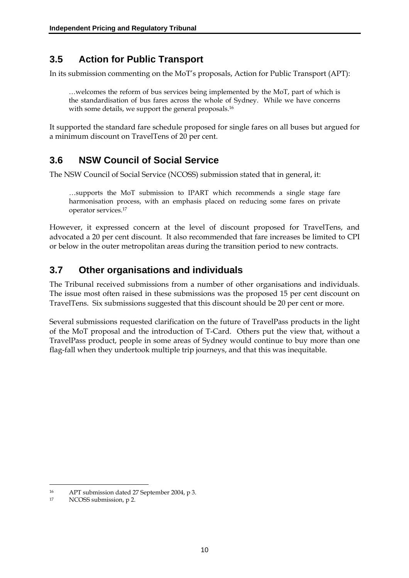# **3.5 Action for Public Transport**

In its submission commenting on the MoT's proposals, Action for Public Transport (APT):

…welcomes the reform of bus services being implemented by the MoT, part of which is the standardisation of bus fares across the whole of Sydney. While we have concerns with some details, we support the general proposals.<sup>16</sup>

It supported the standard fare schedule proposed for single fares on all buses but argued for a minimum discount on TravelTens of 20 per cent.

# **3.6 NSW Council of Social Service**

The NSW Council of Social Service (NCOSS) submission stated that in general, it:

…supports the MoT submission to IPART which recommends a single stage fare harmonisation process, with an emphasis placed on reducing some fares on private operator services.17

However, it expressed concern at the level of discount proposed for TravelTens, and advocated a 20 per cent discount. It also recommended that fare increases be limited to CPI or below in the outer metropolitan areas during the transition period to new contracts.

# **3.7 Other organisations and individuals**

The Tribunal received submissions from a number of other organisations and individuals. The issue most often raised in these submissions was the proposed 15 per cent discount on TravelTens. Six submissions suggested that this discount should be 20 per cent or more.

Several submissions requested clarification on the future of TravelPass products in the light of the MoT proposal and the introduction of T-Card. Others put the view that, without a TravelPass product, people in some areas of Sydney would continue to buy more than one flag-fall when they undertook multiple trip journeys, and that this was inequitable.

<sup>16</sup> APT submission dated 27 September 2004, p 3.<br>17 NCOSS submission n 2

NCOSS submission, p 2.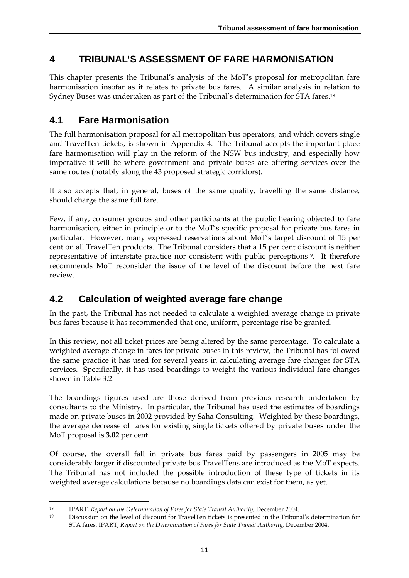# **4 TRIBUNAL'S ASSESSMENT OF FARE HARMONISATION**

This chapter presents the Tribunal's analysis of the MoT's proposal for metropolitan fare harmonisation insofar as it relates to private bus fares. A similar analysis in relation to Sydney Buses was undertaken as part of the Tribunal's determination for STA fares.18

# **4.1 Fare Harmonisation**

The full harmonisation proposal for all metropolitan bus operators, and which covers single and TravelTen tickets, is shown in Appendix 4. The Tribunal accepts the important place fare harmonisation will play in the reform of the NSW bus industry, and especially how imperative it will be where government and private buses are offering services over the same routes (notably along the 43 proposed strategic corridors).

It also accepts that, in general, buses of the same quality, travelling the same distance, should charge the same full fare.

Few, if any, consumer groups and other participants at the public hearing objected to fare harmonisation, either in principle or to the MoT's specific proposal for private bus fares in particular. However, many expressed reservations about MoT's target discount of 15 per cent on all TravelTen products. The Tribunal considers that a 15 per cent discount is neither representative of interstate practice nor consistent with public perceptions19. It therefore recommends MoT reconsider the issue of the level of the discount before the next fare review.

# **4.2 Calculation of weighted average fare change**

In the past, the Tribunal has not needed to calculate a weighted average change in private bus fares because it has recommended that one, uniform, percentage rise be granted.

In this review, not all ticket prices are being altered by the same percentage. To calculate a weighted average change in fares for private buses in this review, the Tribunal has followed the same practice it has used for several years in calculating average fare changes for STA services. Specifically, it has used boardings to weight the various individual fare changes shown in Table 3.2.

The boardings figures used are those derived from previous research undertaken by consultants to the Ministry. In particular, the Tribunal has used the estimates of boardings made on private buses in 2002 provided by Saha Consulting. Weighted by these boardings, the average decrease of fares for existing single tickets offered by private buses under the MoT proposal is **3.02** per cent.

Of course, the overall fall in private bus fares paid by passengers in 2005 may be considerably larger if discounted private bus TravelTens are introduced as the MoT expects. The Tribunal has not included the possible introduction of these type of tickets in its weighted average calculations because no boardings data can exist for them, as yet.

<sup>18</sup> IPART, *Report on the Determination of Fares for State Transit Authority*, December 2004.

<sup>19</sup> Discussion on the level of discount for TravelTen tickets is presented in the Tribunal's determination for STA fares, IPART, *Report on the Determination of Fares for State Transit Authority,* December 2004.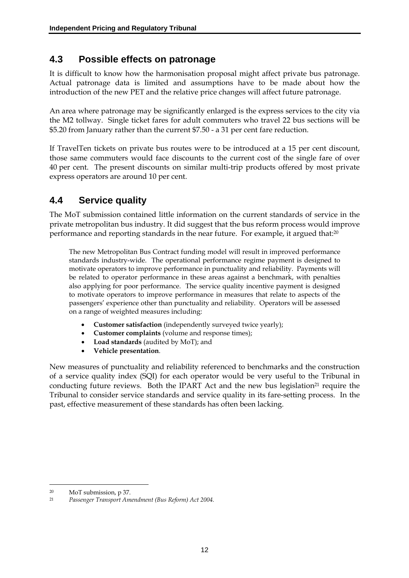### **4.3 Possible effects on patronage**

It is difficult to know how the harmonisation proposal might affect private bus patronage. Actual patronage data is limited and assumptions have to be made about how the introduction of the new PET and the relative price changes will affect future patronage.

An area where patronage may be significantly enlarged is the express services to the city via the M2 tollway. Single ticket fares for adult commuters who travel 22 bus sections will be \$5.20 from January rather than the current \$7.50 - a 31 per cent fare reduction.

If TravelTen tickets on private bus routes were to be introduced at a 15 per cent discount, those same commuters would face discounts to the current cost of the single fare of over 40 per cent. The present discounts on similar multi-trip products offered by most private express operators are around 10 per cent.

# **4.4 Service quality**

The MoT submission contained little information on the current standards of service in the private metropolitan bus industry. It did suggest that the bus reform process would improve performance and reporting standards in the near future. For example, it argued that:<sup>20</sup>

The new Metropolitan Bus Contract funding model will result in improved performance standards industry-wide. The operational performance regime payment is designed to motivate operators to improve performance in punctuality and reliability. Payments will be related to operator performance in these areas against a benchmark, with penalties also applying for poor performance. The service quality incentive payment is designed to motivate operators to improve performance in measures that relate to aspects of the passengers' experience other than punctuality and reliability. Operators will be assessed on a range of weighted measures including:

- **Customer satisfaction** (independently surveyed twice yearly);
- **Customer complaints** (volume and response times);
- **Load standards** (audited by MoT); and
- **Vehicle presentation**.

New measures of punctuality and reliability referenced to benchmarks and the construction of a service quality index (SQI) for each operator would be very useful to the Tribunal in conducting future reviews. Both the IPART Act and the new bus legislation<sup>21</sup> require the Tribunal to consider service standards and service quality in its fare-setting process. In the past, effective measurement of these standards has often been lacking.

<sup>20</sup> MoT submission, p 37.<br>21 Desegner Transport Am

<sup>21</sup> *Passenger Transport Amendment (Bus Reform) Act 2004.*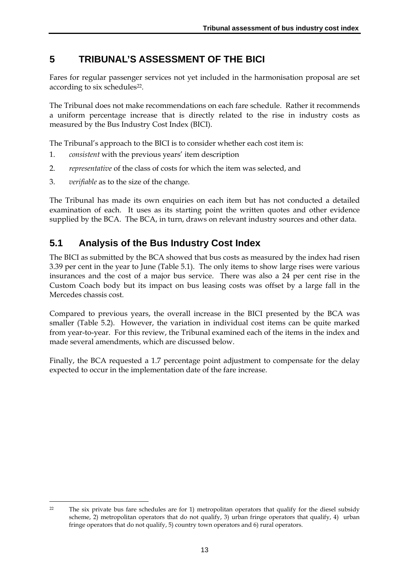# **5 TRIBUNAL'S ASSESSMENT OF THE BICI**

Fares for regular passenger services not yet included in the harmonisation proposal are set according to six schedules<sup>22</sup>.

The Tribunal does not make recommendations on each fare schedule. Rather it recommends a uniform percentage increase that is directly related to the rise in industry costs as measured by the Bus Industry Cost Index (BICI).

The Tribunal's approach to the BICI is to consider whether each cost item is:

- 1. *consistent* with the previous years' item description
- 2. *representative* of the class of costs for which the item was selected, and
- 3. *verifiable* as to the size of the change.

The Tribunal has made its own enquiries on each item but has not conducted a detailed examination of each. It uses as its starting point the written quotes and other evidence supplied by the BCA. The BCA, in turn, draws on relevant industry sources and other data.

# **5.1 Analysis of the Bus Industry Cost Index**

The BICI as submitted by the BCA showed that bus costs as measured by the index had risen 3.39 per cent in the year to June (Table 5.1). The only items to show large rises were various insurances and the cost of a major bus service. There was also a 24 per cent rise in the Custom Coach body but its impact on bus leasing costs was offset by a large fall in the Mercedes chassis cost.

Compared to previous years, the overall increase in the BICI presented by the BCA was smaller (Table 5.2). However, the variation in individual cost items can be quite marked from year-to-year. For this review, the Tribunal examined each of the items in the index and made several amendments, which are discussed below.

Finally, the BCA requested a 1.7 percentage point adjustment to compensate for the delay expected to occur in the implementation date of the fare increase.

 $\overline{a}$ 22 The six private bus fare schedules are for 1) metropolitan operators that qualify for the diesel subsidy scheme, 2) metropolitan operators that do not qualify, 3) urban fringe operators that qualify, 4) urban fringe operators that do not qualify, 5) country town operators and 6) rural operators.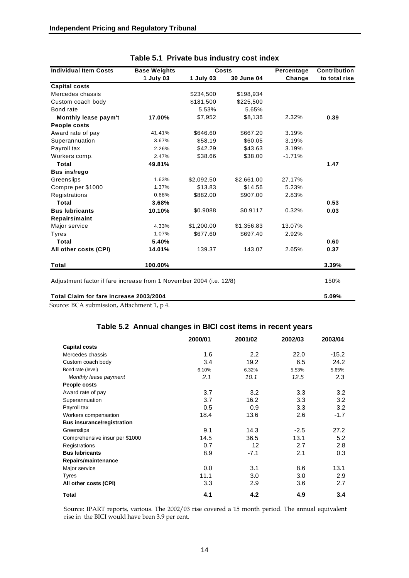| <b>Individual Item Costs</b>                                        | <b>Base Weights</b> | Costs      |            | Percentage | Contribution  |
|---------------------------------------------------------------------|---------------------|------------|------------|------------|---------------|
|                                                                     | 1 July 03           | 1 July 03  | 30 June 04 | Change     | to total rise |
| <b>Capital costs</b>                                                |                     |            |            |            |               |
| Mercedes chassis                                                    |                     | \$234,500  | \$198,934  |            |               |
| Custom coach body                                                   |                     | \$181,500  | \$225,500  |            |               |
| Bond rate                                                           |                     | 5.53%      | 5.65%      |            |               |
| Monthly lease paym't                                                | 17.00%              | \$7,952    | \$8,136    | 2.32%      | 0.39          |
| People costs                                                        |                     |            |            |            |               |
| Award rate of pay                                                   | 41.41%              | \$646.60   | \$667.20   | 3.19%      |               |
| Superannuation                                                      | 3.67%               | \$58.19    | \$60.05    | 3.19%      |               |
| Payroll tax                                                         | 2.26%               | \$42.29    | \$43.63    | 3.19%      |               |
| Workers comp.                                                       | 2.47%               | \$38.66    | \$38.00    | $-1.71%$   |               |
| Total                                                               | 49.81%              |            |            |            | 1.47          |
| <b>Bus ins/rego</b>                                                 |                     |            |            |            |               |
| Greenslips                                                          | 1.63%               | \$2,092.50 | \$2,661.00 | 27.17%     |               |
| Compre per \$1000                                                   | 1.37%               | \$13.83    | \$14.56    | 5.23%      |               |
| Registrations                                                       | 0.68%               | \$882.00   | \$907.00   | 2.83%      |               |
| Total                                                               | 3.68%               |            |            |            | 0.53          |
| <b>Bus lubricants</b>                                               | 10.10%              | \$0.9088   | \$0.9117   | 0.32%      | 0.03          |
| Repairs/maint                                                       |                     |            |            |            |               |
| Major service                                                       | 4.33%               | \$1,200.00 | \$1,356.83 | 13.07%     |               |
| <b>Tyres</b>                                                        | 1.07%               | \$677.60   | \$697.40   | 2.92%      |               |
| Total                                                               | 5.40%               |            |            |            | 0.60          |
| All other costs (CPI)                                               | 14.01%              | 139.37     | 143.07     | 2.65%      | 0.37          |
| Total                                                               | 100.00%             |            |            |            | 3.39%         |
| Adjustment factor if fare increase from 1 November 2004 (i.e. 12/8) |                     |            |            |            |               |
| Total Claim for fare increase 2003/2004                             |                     |            |            |            |               |

#### **Table 5.1 Private bus industry cost index**

Source: BCA submission, Attachment 1, p 4.

#### **Table 5.2 Annual changes in BICI cost items in recent years**

|                                   | 2000/01 | 2001/02 | 2002/03          | 2003/04 |
|-----------------------------------|---------|---------|------------------|---------|
| <b>Capital costs</b>              |         |         |                  |         |
| Mercedes chassis                  | 1.6     | 2.2     | 22.0             | $-15.2$ |
| Custom coach body                 | 3.4     | 19.2    | 6.5              | 24.2    |
| Bond rate (level)                 | 6.10%   | 6.32%   | 5.53%            | 5.65%   |
| Monthly lease payment             | 2.1     | 10.1    | 12.5             | 2.3     |
| People costs                      |         |         |                  |         |
| Award rate of pay                 | 3.7     | 3.2     | 3.3 <sub>2</sub> | 3.2     |
| Superannuation                    | 3.7     | 16.2    | 3.3              | 3.2     |
| Payroll tax                       | 0.5     | 0.9     | 3.3              | 3.2     |
| Workers compensation              | 18.4    | 13.6    | 2.6              | $-1.7$  |
| <b>Bus insurance/registration</b> |         |         |                  |         |
| Greenslips                        | 9.1     | 14.3    | $-2.5$           | 27.2    |
| Comprehensive insur per \$1000    | 14.5    | 36.5    | 13.1             | 5.2     |
| Registrations                     | 0.7     | 12      | 2.7              | 2.8     |
| <b>Bus lubricants</b>             | 8.9     | $-7.1$  | 2.1              | 0.3     |
| Repairs/maintenance               |         |         |                  |         |
| Major service                     | 0.0     | 3.1     | 8.6              | 13.1    |
| <b>Tyres</b>                      | 11.1    | 3.0     | 3.0              | 2.9     |
| All other costs (CPI)             | 3.3     | 2.9     | 3.6              | 2.7     |
| <b>Total</b>                      | 4.1     | 4.2     | 4.9              | 3.4     |

Source: IPART reports, various. The 2002/03 rise covered a 15 month period. The annual equivalent rise in the BICI would have been 3.9 per cent.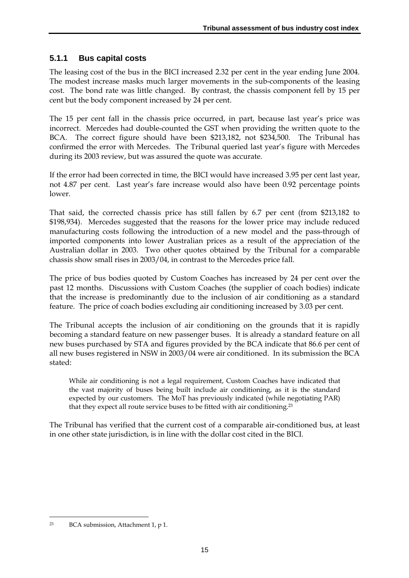### **5.1.1 Bus capital costs**

The leasing cost of the bus in the BICI increased 2.32 per cent in the year ending June 2004. The modest increase masks much larger movements in the sub-components of the leasing cost. The bond rate was little changed. By contrast, the chassis component fell by 15 per cent but the body component increased by 24 per cent.

The 15 per cent fall in the chassis price occurred, in part, because last year's price was incorrect. Mercedes had double-counted the GST when providing the written quote to the BCA. The correct figure should have been \$213,182, not \$234,500. The Tribunal has confirmed the error with Mercedes. The Tribunal queried last year's figure with Mercedes during its 2003 review, but was assured the quote was accurate.

If the error had been corrected in time, the BICI would have increased 3.95 per cent last year, not 4.87 per cent. Last year's fare increase would also have been 0.92 percentage points lower.

That said, the corrected chassis price has still fallen by 6.7 per cent (from \$213,182 to \$198,934). Mercedes suggested that the reasons for the lower price may include reduced manufacturing costs following the introduction of a new model and the pass-through of imported components into lower Australian prices as a result of the appreciation of the Australian dollar in 2003. Two other quotes obtained by the Tribunal for a comparable chassis show small rises in 2003/04, in contrast to the Mercedes price fall.

The price of bus bodies quoted by Custom Coaches has increased by 24 per cent over the past 12 months. Discussions with Custom Coaches (the supplier of coach bodies) indicate that the increase is predominantly due to the inclusion of air conditioning as a standard feature. The price of coach bodies excluding air conditioning increased by 3.03 per cent.

The Tribunal accepts the inclusion of air conditioning on the grounds that it is rapidly becoming a standard feature on new passenger buses. It is already a standard feature on all new buses purchased by STA and figures provided by the BCA indicate that 86.6 per cent of all new buses registered in NSW in 2003/04 were air conditioned. In its submission the BCA stated:

While air conditioning is not a legal requirement, Custom Coaches have indicated that the vast majority of buses being built include air conditioning, as it is the standard expected by our customers. The MoT has previously indicated (while negotiating PAR) that they expect all route service buses to be fitted with air conditioning.23

The Tribunal has verified that the current cost of a comparable air-conditioned bus, at least in one other state jurisdiction, is in line with the dollar cost cited in the BICI.

<sup>23</sup> BCA submission, Attachment 1, p 1.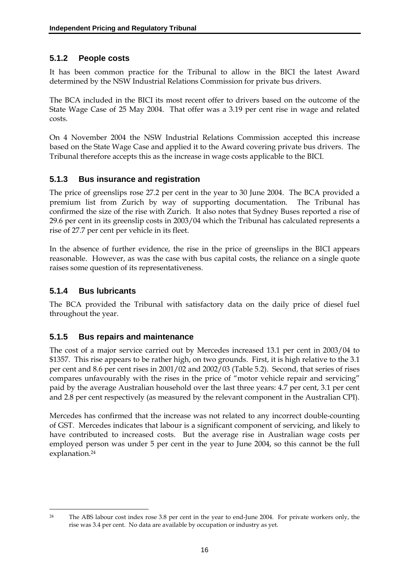### **5.1.2 People costs**

It has been common practice for the Tribunal to allow in the BICI the latest Award determined by the NSW Industrial Relations Commission for private bus drivers.

The BCA included in the BICI its most recent offer to drivers based on the outcome of the State Wage Case of 25 May 2004. That offer was a 3.19 per cent rise in wage and related costs.

On 4 November 2004 the NSW Industrial Relations Commission accepted this increase based on the State Wage Case and applied it to the Award covering private bus drivers. The Tribunal therefore accepts this as the increase in wage costs applicable to the BICI.

#### **5.1.3 Bus insurance and registration**

The price of greenslips rose 27.2 per cent in the year to 30 June 2004. The BCA provided a premium list from Zurich by way of supporting documentation. The Tribunal has confirmed the size of the rise with Zurich. It also notes that Sydney Buses reported a rise of 29.6 per cent in its greenslip costs in 2003/04 which the Tribunal has calculated represents a rise of 27.7 per cent per vehicle in its fleet.

In the absence of further evidence, the rise in the price of greenslips in the BICI appears reasonable. However, as was the case with bus capital costs, the reliance on a single quote raises some question of its representativeness.

### **5.1.4 Bus lubricants**

The BCA provided the Tribunal with satisfactory data on the daily price of diesel fuel throughout the year.

#### **5.1.5 Bus repairs and maintenance**

The cost of a major service carried out by Mercedes increased 13.1 per cent in 2003/04 to \$1357. This rise appears to be rather high, on two grounds. First, it is high relative to the 3.1 per cent and 8.6 per cent rises in 2001/02 and 2002/03 (Table 5.2). Second, that series of rises compares unfavourably with the rises in the price of "motor vehicle repair and servicing" paid by the average Australian household over the last three years: 4.7 per cent, 3.1 per cent and 2.8 per cent respectively (as measured by the relevant component in the Australian CPI).

Mercedes has confirmed that the increase was not related to any incorrect double-counting of GST. Mercedes indicates that labour is a significant component of servicing, and likely to have contributed to increased costs. But the average rise in Australian wage costs per employed person was under 5 per cent in the year to June 2004, so this cannot be the full explanation.<sup>24</sup>

 $\overline{a}$ 24 The ABS labour cost index rose 3.8 per cent in the year to end-June 2004. For private workers only, the rise was 3.4 per cent. No data are available by occupation or industry as yet.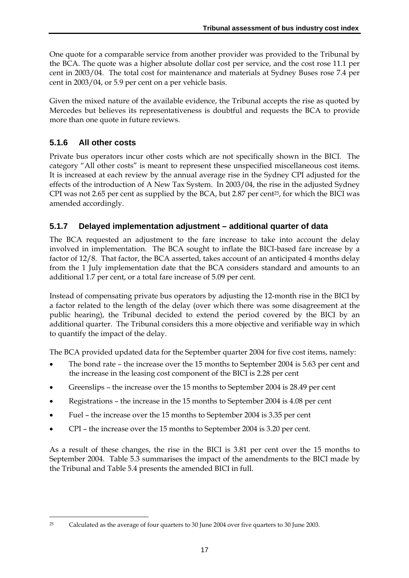One quote for a comparable service from another provider was provided to the Tribunal by the BCA. The quote was a higher absolute dollar cost per service, and the cost rose 11.1 per cent in 2003/04. The total cost for maintenance and materials at Sydney Buses rose 7.4 per cent in 2003/04, or 5.9 per cent on a per vehicle basis.

Given the mixed nature of the available evidence, the Tribunal accepts the rise as quoted by Mercedes but believes its representativeness is doubtful and requests the BCA to provide more than one quote in future reviews.

### **5.1.6 All other costs**

Private bus operators incur other costs which are not specifically shown in the BICI. The category "All other costs" is meant to represent these unspecified miscellaneous cost items. It is increased at each review by the annual average rise in the Sydney CPI adjusted for the effects of the introduction of A New Tax System. In 2003/04, the rise in the adjusted Sydney CPI was not 2.65 per cent as supplied by the BCA, but 2.87 per cent<sup>25</sup>, for which the BICI was amended accordingly.

### **5.1.7 Delayed implementation adjustment – additional quarter of data**

The BCA requested an adjustment to the fare increase to take into account the delay involved in implementation. The BCA sought to inflate the BICI-based fare increase by a factor of 12/8. That factor, the BCA asserted, takes account of an anticipated 4 months delay from the 1 July implementation date that the BCA considers standard and amounts to an additional 1.7 per cent, or a total fare increase of 5.09 per cent.

Instead of compensating private bus operators by adjusting the 12-month rise in the BICI by a factor related to the length of the delay (over which there was some disagreement at the public hearing), the Tribunal decided to extend the period covered by the BICI by an additional quarter. The Tribunal considers this a more objective and verifiable way in which to quantify the impact of the delay.

The BCA provided updated data for the September quarter 2004 for five cost items, namely:

- The bond rate the increase over the 15 months to September 2004 is 5.63 per cent and the increase in the leasing cost component of the BICI is 2.28 per cent
- Greenslips the increase over the 15 months to September 2004 is 28.49 per cent
- Registrations the increase in the 15 months to September 2004 is 4.08 per cent
- Fuel the increase over the 15 months to September 2004 is 3.35 per cent
- CPI the increase over the 15 months to September 2004 is 3.20 per cent.

As a result of these changes, the rise in the BICI is 3.81 per cent over the 15 months to September 2004. Table 5.3 summarises the impact of the amendments to the BICI made by the Tribunal and Table 5.4 presents the amended BICI in full.

 $\overline{a}$ 25 Calculated as the average of four quarters to 30 June 2004 over five quarters to 30 June 2003.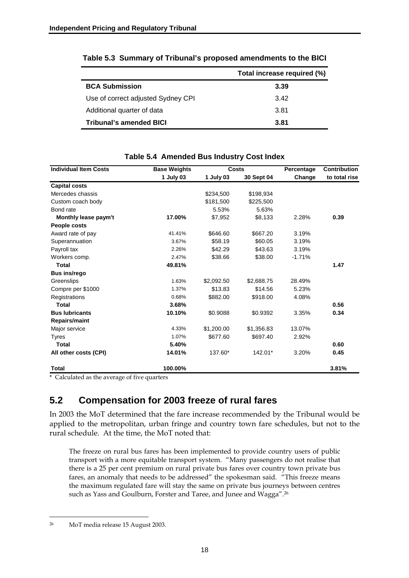|                                    | Total increase required (%) |
|------------------------------------|-----------------------------|
| <b>BCA Submission</b>              | 3.39                        |
| Use of correct adjusted Sydney CPI | 342                         |
| Additional quarter of data         | 3.81                        |
| <b>Tribunal's amended BICI</b>     | 3.81                        |

|  | Table 5.3 Summary of Tribunal's proposed amendments to the BICI |  |  |  |
|--|-----------------------------------------------------------------|--|--|--|
|--|-----------------------------------------------------------------|--|--|--|

| <b>Individual Item Costs</b> | <b>Base Weights</b> |            | Costs      | Percentage | Contribution  |
|------------------------------|---------------------|------------|------------|------------|---------------|
|                              | 1 July 03           | 1 July 03  | 30 Sept 04 | Change     | to total rise |
| <b>Capital costs</b>         |                     |            |            |            |               |
| Mercedes chassis             |                     | \$234,500  | \$198,934  |            |               |
| Custom coach body            |                     | \$181,500  | \$225,500  |            |               |
| Bond rate                    |                     | 5.53%      | 5.63%      |            |               |
| Monthly lease paym't         | 17.00%              | \$7,952    | \$8,133    | 2.28%      | 0.39          |
| People costs                 |                     |            |            |            |               |
| Award rate of pay            | 41.41%              | \$646.60   | \$667.20   | 3.19%      |               |
| Superannuation               | 3.67%               | \$58.19    | \$60.05    | 3.19%      |               |
| Payroll tax                  | 2.26%               | \$42.29    | \$43.63    | 3.19%      |               |
| Workers comp.                | 2.47%               | \$38.66    | \$38.00    | $-1.71%$   |               |
| Total                        | 49.81%              |            |            |            | 1.47          |
| <b>Bus ins/rego</b>          |                     |            |            |            |               |
| Greenslips                   | 1.63%               | \$2,092.50 | \$2,688.75 | 28.49%     |               |
| Compre per \$1000            | 1.37%               | \$13.83    | \$14.56    | 5.23%      |               |
| Registrations                | 0.68%               | \$882.00   | \$918.00   | 4.08%      |               |
| Total                        | 3.68%               |            |            |            | 0.56          |
| <b>Bus lubricants</b>        | 10.10%              | \$0.9088   | \$0.9392   | 3.35%      | 0.34          |
| <b>Repairs/maint</b>         |                     |            |            |            |               |
| Major service                | 4.33%               | \$1,200.00 | \$1,356.83 | 13.07%     |               |
| Tyres                        | 1.07%               | \$677.60   | \$697.40   | 2.92%      |               |
| Total                        | 5.40%               |            |            |            | 0.60          |
| All other costs (CPI)        | 14.01%              | 137.60*    | 142.01*    | 3.20%      | 0.45          |
| <b>Total</b>                 | 100.00%             |            |            |            | 3.81%         |

#### **Table 5.4 Amended Bus Industry Cost Index**

\* Calculated as the average of five quarters

### **5.2 Compensation for 2003 freeze of rural fares**

In 2003 the MoT determined that the fare increase recommended by the Tribunal would be applied to the metropolitan, urban fringe and country town fare schedules, but not to the rural schedule. At the time, the MoT noted that:

The freeze on rural bus fares has been implemented to provide country users of public transport with a more equitable transport system. "Many passengers do not realise that there is a 25 per cent premium on rural private bus fares over country town private bus fares, an anomaly that needs to be addressed" the spokesman said. "This freeze means the maximum regulated fare will stay the same on private bus journeys between centres such as Yass and Goulburn, Forster and Taree, and Junee and Wagga".26

 $\overline{a}$ 26 MoT media release 15 August 2003.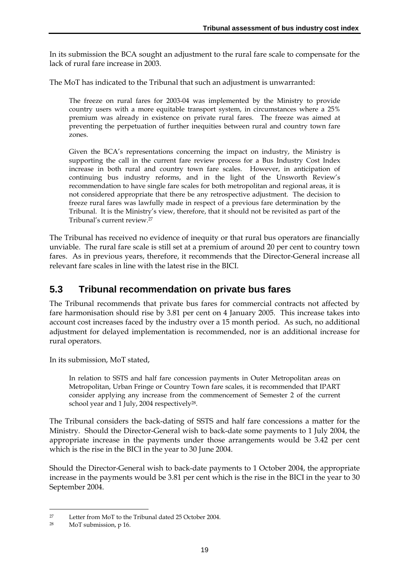In its submission the BCA sought an adjustment to the rural fare scale to compensate for the lack of rural fare increase in 2003.

The MoT has indicated to the Tribunal that such an adjustment is unwarranted:

The freeze on rural fares for 2003-04 was implemented by the Ministry to provide country users with a more equitable transport system, in circumstances where a 25% premium was already in existence on private rural fares. The freeze was aimed at preventing the perpetuation of further inequities between rural and country town fare zones.

Given the BCA's representations concerning the impact on industry, the Ministry is supporting the call in the current fare review process for a Bus Industry Cost Index increase in both rural and country town fare scales. However, in anticipation of continuing bus industry reforms, and in the light of the Unsworth Review's recommendation to have single fare scales for both metropolitan and regional areas, it is not considered appropriate that there be any retrospective adjustment. The decision to freeze rural fares was lawfully made in respect of a previous fare determination by the Tribunal. It is the Ministry's view, therefore, that it should not be revisited as part of the Tribunal's current review.27

The Tribunal has received no evidence of inequity or that rural bus operators are financially unviable. The rural fare scale is still set at a premium of around 20 per cent to country town fares. As in previous years, therefore, it recommends that the Director-General increase all relevant fare scales in line with the latest rise in the BICI.

### **5.3 Tribunal recommendation on private bus fares**

The Tribunal recommends that private bus fares for commercial contracts not affected by fare harmonisation should rise by 3.81 per cent on 4 January 2005. This increase takes into account cost increases faced by the industry over a 15 month period. As such, no additional adjustment for delayed implementation is recommended, nor is an additional increase for rural operators.

In its submission, MoT stated,

In relation to SSTS and half fare concession payments in Outer Metropolitan areas on Metropolitan, Urban Fringe or Country Town fare scales, it is recommended that IPART consider applying any increase from the commencement of Semester 2 of the current school year and 1 July, 2004 respectively<sup>28</sup>.

The Tribunal considers the back-dating of SSTS and half fare concessions a matter for the Ministry. Should the Director-General wish to back-date some payments to 1 July 2004, the appropriate increase in the payments under those arrangements would be 3.42 per cent which is the rise in the BICI in the year to 30 June 2004.

Should the Director-General wish to back-date payments to 1 October 2004, the appropriate increase in the payments would be 3.81 per cent which is the rise in the BICI in the year to 30 September 2004.

 $\overline{a}$ 27 Letter from MoT to the Tribunal dated 25 October 2004.

<sup>28</sup> MoT submission, p 16.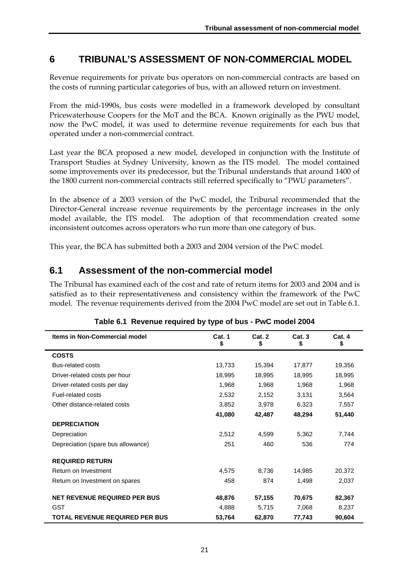# **6 TRIBUNAL'S ASSESSMENT OF NON-COMMERCIAL MODEL**

Revenue requirements for private bus operators on non-commercial contracts are based on the costs of running particular categories of bus, with an allowed return on investment.

From the mid-1990s, bus costs were modelled in a framework developed by consultant Pricewaterhouse Coopers for the MoT and the BCA. Known originally as the PWU model, now the PwC model, it was used to determine revenue requirements for each bus that operated under a non-commercial contract.

Last year the BCA proposed a new model, developed in conjunction with the Institute of Transport Studies at Sydney University, known as the ITS model. The model contained some improvements over its predecessor, but the Tribunal understands that around 1400 of the 1800 current non-commercial contracts still referred specifically to "PWU parameters".

In the absence of a 2003 version of the PwC model, the Tribunal recommended that the Director-General increase revenue requirements by the percentage increases in the only model available, the ITS model. The adoption of that recommendation created some inconsistent outcomes across operators who run more than one category of bus.

This year, the BCA has submitted both a 2003 and 2004 version of the PwC model.

# **6.1 Assessment of the non-commercial model**

The Tribunal has examined each of the cost and rate of return items for 2003 and 2004 and is satisfied as to their representativeness and consistency within the framework of the PwC model. The revenue requirements derived from the 2004 PwC model are set out in Table 6.1.

| Items in Non-Commercial model       | Cat. 1<br>\$ | Cat. 2<br>\$ | Cat.3<br>\$ | Cat. 4<br>\$ |
|-------------------------------------|--------------|--------------|-------------|--------------|
| <b>COSTS</b>                        |              |              |             |              |
| <b>Bus-related costs</b>            | 13,733       | 15,394       | 17,877      | 19,356       |
| Driver-related costs per hour       | 18,995       | 18,995       | 18,995      | 18,995       |
| Driver-related costs per day        | 1,968        | 1,968        | 1,968       | 1,968        |
| Fuel-related costs                  | 2,532        | 2,152        | 3,131       | 3,564        |
| Other distance-related costs        | 3,852        | 3,978        | 6,323       | 7,557        |
|                                     | 41,080       | 42,487       | 48,294      | 51,440       |
| <b>DEPRECIATION</b>                 |              |              |             |              |
| Depreciation                        | 2,512        | 4,599        | 5,362       | 7,744        |
| Depreciation (spare bus allowance)  | 251          | 460          | 536         | 774          |
| <b>REQUIRED RETURN</b>              |              |              |             |              |
| Return on Investment                | 4,575        | 8,736        | 14,985      | 20,372       |
| Return on Investment on spares      | 458          | 874          | 1,498       | 2,037        |
| <b>NET REVENUE REQUIRED PER BUS</b> | 48,876       | 57,155       | 70,675      | 82,367       |
| <b>GST</b>                          | 4,888        | 5,715        | 7,068       | 8,237        |
| TOTAL REVENUE REQUIRED PER BUS      | 53,764       | 62,870       | 77,743      | 90,604       |

#### **Table 6.1 Revenue required by type of bus - PwC model 2004**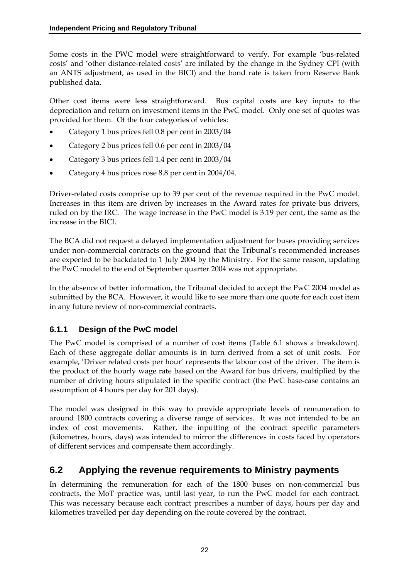Some costs in the PWC model were straightforward to verify. For example 'bus-related costs' and 'other distance-related costs' are inflated by the change in the Sydney CPI (with an ANTS adjustment, as used in the BICI) and the bond rate is taken from Reserve Bank published data.

Other cost items were less straightforward. Bus capital costs are key inputs to the depreciation and return on investment items in the PwC model. Only one set of quotes was provided for them. Of the four categories of vehicles:

- Category 1 bus prices fell 0.8 per cent in 2003/04
- Category 2 bus prices fell 0.6 per cent in 2003/04
- Category 3 bus prices fell 1.4 per cent in 2003/04
- Category 4 bus prices rose 8.8 per cent in 2004/04.

Driver-related costs comprise up to 39 per cent of the revenue required in the PwC model. Increases in this item are driven by increases in the Award rates for private bus drivers, ruled on by the IRC. The wage increase in the PwC model is 3.19 per cent, the same as the increase in the BICI.

The BCA did not request a delayed implementation adjustment for buses providing services under non-commercial contracts on the ground that the Tribunal's recommended increases are expected to be backdated to 1 July 2004 by the Ministry. For the same reason, updating the PwC model to the end of September quarter 2004 was not appropriate.

In the absence of better information, the Tribunal decided to accept the PwC 2004 model as submitted by the BCA. However, it would like to see more than one quote for each cost item in any future review of non-commercial contracts.

### **6.1.1 Design of the PwC model**

The PwC model is comprised of a number of cost items (Table 6.1 shows a breakdown). Each of these aggregate dollar amounts is in turn derived from a set of unit costs. For example, 'Driver related costs per hour' represents the labour cost of the driver. The item is the product of the hourly wage rate based on the Award for bus drivers, multiplied by the number of driving hours stipulated in the specific contract (the PwC base-case contains an assumption of 4 hours per day for 201 days).

The model was designed in this way to provide appropriate levels of remuneration to around 1800 contracts covering a diverse range of services. It was not intended to be an index of cost movements. Rather, the inputting of the contract specific parameters (kilometres, hours, days) was intended to mirror the differences in costs faced by operators of different services and compensate them accordingly.

### **6.2 Applying the revenue requirements to Ministry payments**

In determining the remuneration for each of the 1800 buses on non-commercial bus contracts, the MoT practice was, until last year, to run the PwC model for each contract. This was necessary because each contract prescribes a number of days, hours per day and kilometres travelled per day depending on the route covered by the contract.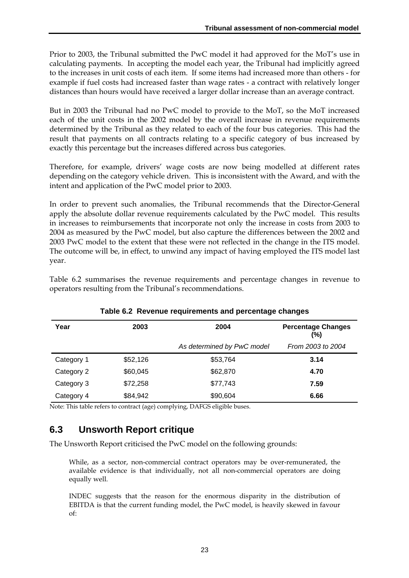Prior to 2003, the Tribunal submitted the PwC model it had approved for the MoT's use in calculating payments. In accepting the model each year, the Tribunal had implicitly agreed to the increases in unit costs of each item. If some items had increased more than others - for example if fuel costs had increased faster than wage rates - a contract with relatively longer distances than hours would have received a larger dollar increase than an average contract.

But in 2003 the Tribunal had no PwC model to provide to the MoT, so the MoT increased each of the unit costs in the 2002 model by the overall increase in revenue requirements determined by the Tribunal as they related to each of the four bus categories. This had the result that payments on all contracts relating to a specific category of bus increased by exactly this percentage but the increases differed across bus categories.

Therefore, for example, drivers' wage costs are now being modelled at different rates depending on the category vehicle driven. This is inconsistent with the Award, and with the intent and application of the PwC model prior to 2003.

In order to prevent such anomalies, the Tribunal recommends that the Director-General apply the absolute dollar revenue requirements calculated by the PwC model. This results in increases to reimbursements that incorporate not only the increase in costs from 2003 to 2004 as measured by the PwC model, but also capture the differences between the 2002 and 2003 PwC model to the extent that these were not reflected in the change in the ITS model. The outcome will be, in effect, to unwind any impact of having employed the ITS model last year.

Table 6.2 summarises the revenue requirements and percentage changes in revenue to operators resulting from the Tribunal's recommendations.

| Year<br>2003 |          | 2004                       | <b>Percentage Changes</b><br>(%) |  |
|--------------|----------|----------------------------|----------------------------------|--|
|              |          | As determined by PwC model | From 2003 to 2004                |  |
| Category 1   | \$52,126 | \$53,764                   | 3.14                             |  |
| Category 2   | \$60,045 | \$62,870                   | 4.70                             |  |
| Category 3   | \$72,258 | \$77,743                   | 7.59                             |  |
| Category 4   | \$84,942 | \$90,604                   | 6.66                             |  |

|  |  |  | Table 6.2 Revenue requirements and percentage changes |  |  |
|--|--|--|-------------------------------------------------------|--|--|
|--|--|--|-------------------------------------------------------|--|--|

Note: This table refers to contract (age) complying, DAFGS eligible buses.

# **6.3 Unsworth Report critique**

The Unsworth Report criticised the PwC model on the following grounds:

While, as a sector, non-commercial contract operators may be over-remunerated, the available evidence is that individually, not all non-commercial operators are doing equally well.

INDEC suggests that the reason for the enormous disparity in the distribution of EBITDA is that the current funding model, the PwC model, is heavily skewed in favour of: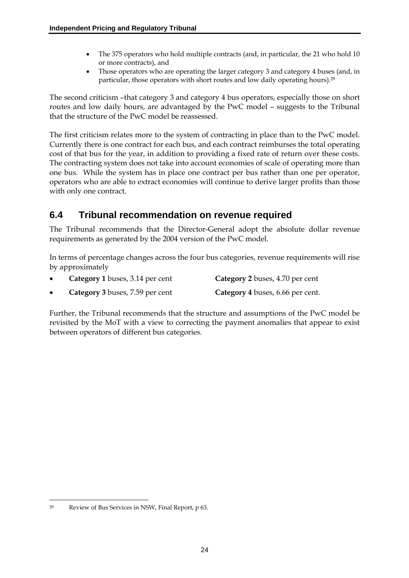- The 375 operators who hold multiple contracts (and, in particular, the 21 who hold 10 or more contracts), and
- Those operators who are operating the larger category 3 and category 4 buses (and, in particular, those operators with short routes and low daily operating hours).29

The second criticism –that category 3 and category 4 bus operators, especially those on short routes and low daily hours, are advantaged by the PwC model – suggests to the Tribunal that the structure of the PwC model be reassessed.

The first criticism relates more to the system of contracting in place than to the PwC model. Currently there is one contract for each bus, and each contract reimburses the total operating cost of that bus for the year, in addition to providing a fixed rate of return over these costs. The contracting system does not take into account economies of scale of operating more than one bus. While the system has in place one contract per bus rather than one per operator, operators who are able to extract economies will continue to derive larger profits than those with only one contract.

# **6.4 Tribunal recommendation on revenue required**

The Tribunal recommends that the Director-General adopt the absolute dollar revenue requirements as generated by the 2004 version of the PwC model.

In terms of percentage changes across the four bus categories, revenue requirements will rise by approximately

| Category 1 buses, 3.14 per cent | Category 2 buses, 4.70 per cent  |
|---------------------------------|----------------------------------|
| Category 3 buses, 7.59 per cent | Category 4 buses, 6.66 per cent. |

Further, the Tribunal recommends that the structure and assumptions of the PwC model be revisited by the MoT with a view to correcting the payment anomalies that appear to exist between operators of different bus categories.

 $\overline{a}$ 29 Review of Bus Services in NSW, Final Report, p 63.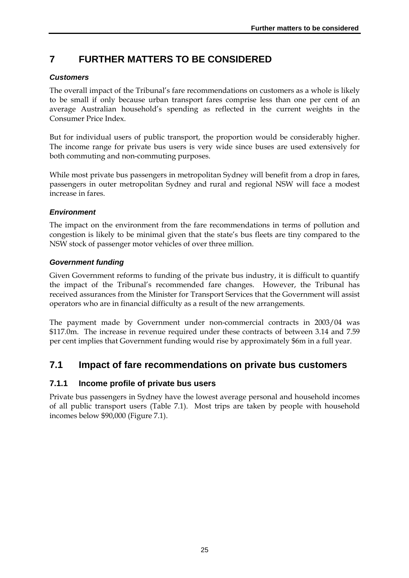# **7 FURTHER MATTERS TO BE CONSIDERED**

### *Customers*

The overall impact of the Tribunal's fare recommendations on customers as a whole is likely to be small if only because urban transport fares comprise less than one per cent of an average Australian household's spending as reflected in the current weights in the Consumer Price Index.

But for individual users of public transport, the proportion would be considerably higher. The income range for private bus users is very wide since buses are used extensively for both commuting and non-commuting purposes.

While most private bus passengers in metropolitan Sydney will benefit from a drop in fares, passengers in outer metropolitan Sydney and rural and regional NSW will face a modest increase in fares.

#### *Environment*

The impact on the environment from the fare recommendations in terms of pollution and congestion is likely to be minimal given that the state's bus fleets are tiny compared to the NSW stock of passenger motor vehicles of over three million.

#### *Government funding*

Given Government reforms to funding of the private bus industry, it is difficult to quantify the impact of the Tribunal's recommended fare changes. However, the Tribunal has received assurances from the Minister for Transport Services that the Government will assist operators who are in financial difficulty as a result of the new arrangements.

The payment made by Government under non-commercial contracts in 2003/04 was \$117.0m. The increase in revenue required under these contracts of between 3.14 and 7.59 per cent implies that Government funding would rise by approximately \$6m in a full year.

### **7.1 Impact of fare recommendations on private bus customers**

#### **7.1.1 Income profile of private bus users**

Private bus passengers in Sydney have the lowest average personal and household incomes of all public transport users (Table 7.1). Most trips are taken by people with household incomes below \$90,000 (Figure 7.1).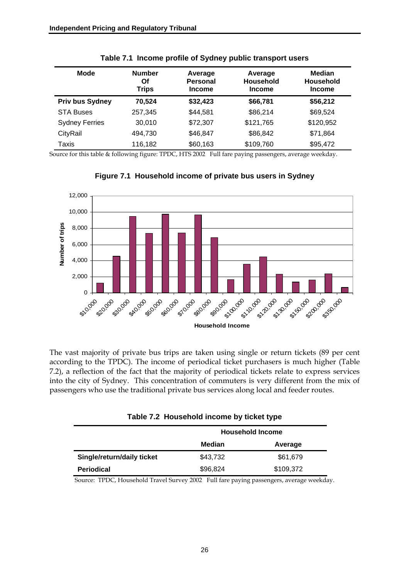| Mode                   | <b>Number</b><br>Οf<br><b>Trips</b> | Average<br><b>Personal</b><br><b>Income</b> | Average<br><b>Household</b><br><b>Income</b> | <b>Median</b><br><b>Household</b><br><b>Income</b> |
|------------------------|-------------------------------------|---------------------------------------------|----------------------------------------------|----------------------------------------------------|
| <b>Priv bus Sydney</b> | 70,524                              | \$32,423                                    | \$66,781                                     | \$56,212                                           |
| <b>STA Buses</b>       | 257.345                             | \$44,581                                    | \$86,214                                     | \$69,524                                           |
| <b>Sydney Ferries</b>  | 30.010                              | \$72,307                                    | \$121,765                                    | \$120,952                                          |
| CityRail               | 494.730                             | \$46,847                                    | \$86,842                                     | \$71,864                                           |
| Taxis                  | 116,182                             | \$60,163                                    | \$109,760                                    | \$95,472                                           |

Source for this table & following figure: TPDC, HTS 2002 Full fare paying passengers, average weekday.



**Figure 7.1 Household income of private bus users in Sydney** 

The vast majority of private bus trips are taken using single or return tickets (89 per cent according to the TPDC). The income of periodical ticket purchasers is much higher (Table 7.2), a reflection of the fact that the majority of periodical tickets relate to express services into the city of Sydney. This concentration of commuters is very different from the mix of passengers who use the traditional private bus services along local and feeder routes.

|                            | <b>Household Income</b> |           |  |  |  |  |  |  |
|----------------------------|-------------------------|-----------|--|--|--|--|--|--|
|                            | Median                  | Average   |  |  |  |  |  |  |
| Single/return/daily ticket | \$43,732                | \$61,679  |  |  |  |  |  |  |
| <b>Periodical</b>          | \$96,824                | \$109,372 |  |  |  |  |  |  |

|  |  |  | Table 7.2 Household income by ticket type |
|--|--|--|-------------------------------------------|
|--|--|--|-------------------------------------------|

Source: TPDC, Household Travel Survey 2002 Full fare paying passengers, average weekday.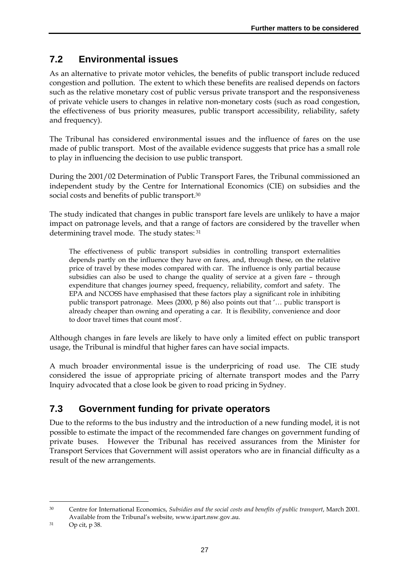# **7.2 Environmental issues**

As an alternative to private motor vehicles, the benefits of public transport include reduced congestion and pollution. The extent to which these benefits are realised depends on factors such as the relative monetary cost of public versus private transport and the responsiveness of private vehicle users to changes in relative non-monetary costs (such as road congestion, the effectiveness of bus priority measures, public transport accessibility, reliability, safety and frequency).

The Tribunal has considered environmental issues and the influence of fares on the use made of public transport. Most of the available evidence suggests that price has a small role to play in influencing the decision to use public transport.

During the 2001/02 Determination of Public Transport Fares, the Tribunal commissioned an independent study by the Centre for International Economics (CIE) on subsidies and the social costs and benefits of public transport.<sup>30</sup>

The study indicated that changes in public transport fare levels are unlikely to have a major impact on patronage levels, and that a range of factors are considered by the traveller when determining travel mode. The study states: 31

The effectiveness of public transport subsidies in controlling transport externalities depends partly on the influence they have on fares, and, through these, on the relative price of travel by these modes compared with car. The influence is only partial because subsidies can also be used to change the quality of service at a given fare – through expenditure that changes journey speed, frequency, reliability, comfort and safety. The EPA and NCOSS have emphasised that these factors play a significant role in inhibiting public transport patronage. Mees (2000, p 86) also points out that '… public transport is already cheaper than owning and operating a car. It is flexibility, convenience and door to door travel times that count most'.

Although changes in fare levels are likely to have only a limited effect on public transport usage, the Tribunal is mindful that higher fares can have social impacts.

A much broader environmental issue is the underpricing of road use. The CIE study considered the issue of appropriate pricing of alternate transport modes and the Parry Inquiry advocated that a close look be given to road pricing in Sydney.

# **7.3 Government funding for private operators**

Due to the reforms to the bus industry and the introduction of a new funding model, it is not possible to estimate the impact of the recommended fare changes on government funding of private buses. However the Tribunal has received assurances from the Minister for Transport Services that Government will assist operators who are in financial difficulty as a result of the new arrangements.

<sup>30</sup> Centre for International Economics, *Subsidies and the social costs and benefits of public transport*, March 2001. Available from the Tribunal's website, www.ipart.nsw.gov.au.

<sup>31</sup> Op cit, p 38.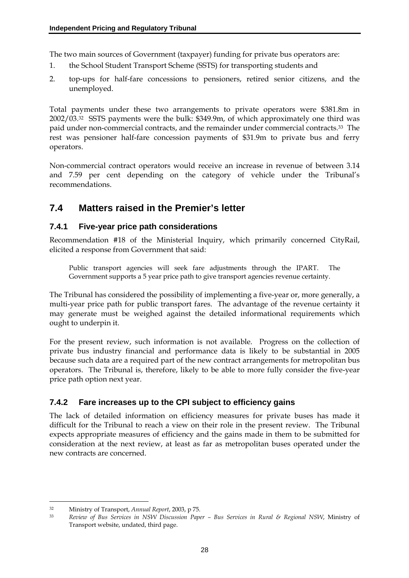The two main sources of Government (taxpayer) funding for private bus operators are:

- 1. the School Student Transport Scheme (SSTS) for transporting students and
- 2. top-ups for half-fare concessions to pensioners, retired senior citizens, and the unemployed.

Total payments under these two arrangements to private operators were \$381.8m in 2002/03.32 SSTS payments were the bulk: \$349.9m, of which approximately one third was paid under non-commercial contracts, and the remainder under commercial contracts.33 The rest was pensioner half-fare concession payments of \$31.9m to private bus and ferry operators.

Non-commercial contract operators would receive an increase in revenue of between 3.14 and 7.59 per cent depending on the category of vehicle under the Tribunal's recommendations.

# **7.4 Matters raised in the Premier's letter**

### **7.4.1 Five-year price path considerations**

Recommendation #18 of the Ministerial Inquiry, which primarily concerned CityRail, elicited a response from Government that said:

Public transport agencies will seek fare adjustments through the IPART. The Government supports a 5 year price path to give transport agencies revenue certainty.

The Tribunal has considered the possibility of implementing a five-year or, more generally, a multi-year price path for public transport fares. The advantage of the revenue certainty it may generate must be weighed against the detailed informational requirements which ought to underpin it.

For the present review, such information is not available. Progress on the collection of private bus industry financial and performance data is likely to be substantial in 2005 because such data are a required part of the new contract arrangements for metropolitan bus operators. The Tribunal is, therefore, likely to be able to more fully consider the five-year price path option next year.

### **7.4.2 Fare increases up to the CPI subject to efficiency gains**

The lack of detailed information on efficiency measures for private buses has made it difficult for the Tribunal to reach a view on their role in the present review. The Tribunal expects appropriate measures of efficiency and the gains made in them to be submitted for consideration at the next review, at least as far as metropolitan buses operated under the new contracts are concerned.

<sup>32</sup> Ministry of Transport, *Annual Report*, 2003, p 75.

<sup>33</sup> *Review of Bus Services in NSW Discussion Paper – Bus Services in Rural & Regional NSW*, Ministry of Transport website, undated, third page.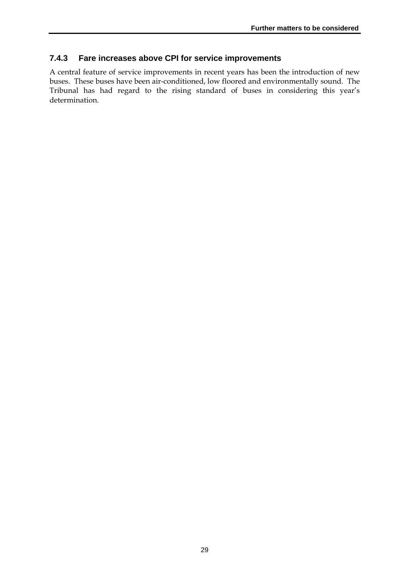#### **7.4.3 Fare increases above CPI for service improvements**

A central feature of service improvements in recent years has been the introduction of new buses. These buses have been air-conditioned, low floored and environmentally sound. The Tribunal has had regard to the rising standard of buses in considering this year's determination.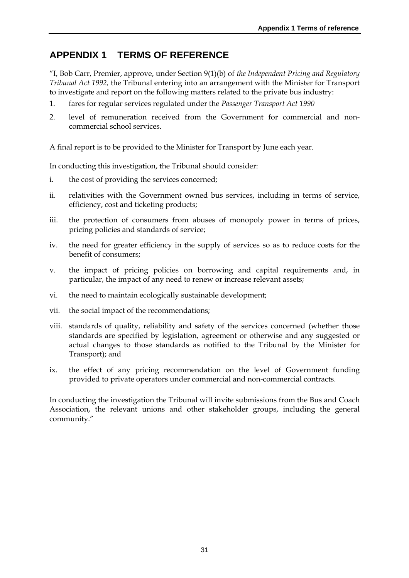### **APPENDIX 1 TERMS OF REFERENCE**

"I, Bob Carr, Premier, approve, under Section 9(1)(b) of *the Independent Pricing and Regulatory Tribunal Act 1992,* the Tribunal entering into an arrangement with the Minister for Transport to investigate and report on the following matters related to the private bus industry:

- 1. fares for regular services regulated under the *Passenger Transport Act 1990*
- 2. level of remuneration received from the Government for commercial and noncommercial school services.

A final report is to be provided to the Minister for Transport by June each year.

In conducting this investigation, the Tribunal should consider:

- i. the cost of providing the services concerned;
- ii. relativities with the Government owned bus services, including in terms of service, efficiency, cost and ticketing products;
- iii. the protection of consumers from abuses of monopoly power in terms of prices, pricing policies and standards of service;
- iv. the need for greater efficiency in the supply of services so as to reduce costs for the benefit of consumers;
- v. the impact of pricing policies on borrowing and capital requirements and, in particular, the impact of any need to renew or increase relevant assets;
- vi. the need to maintain ecologically sustainable development;
- vii. the social impact of the recommendations;
- viii. standards of quality, reliability and safety of the services concerned (whether those standards are specified by legislation, agreement or otherwise and any suggested or actual changes to those standards as notified to the Tribunal by the Minister for Transport); and
- ix. the effect of any pricing recommendation on the level of Government funding provided to private operators under commercial and non-commercial contracts.

In conducting the investigation the Tribunal will invite submissions from the Bus and Coach Association, the relevant unions and other stakeholder groups, including the general community."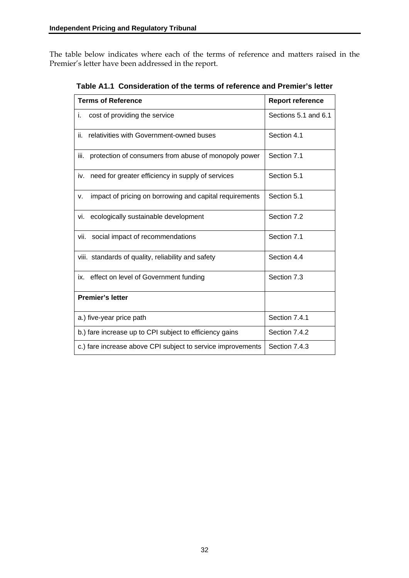The table below indicates where each of the terms of reference and matters raised in the Premier's letter have been addressed in the report.

| <b>Terms of Reference</b>                                     | <b>Report reference</b> |
|---------------------------------------------------------------|-------------------------|
| i.<br>cost of providing the service                           | Sections 5.1 and 6.1    |
| relativities with Government-owned buses<br>ii.               | Section 4.1             |
| iii.<br>protection of consumers from abuse of monopoly power  | Section 7.1             |
| iv. need for greater efficiency in supply of services         | Section 5.1             |
| impact of pricing on borrowing and capital requirements<br>v. | Section 5.1             |
| vi. ecologically sustainable development                      | Section 7.2             |
| vii. social impact of recommendations                         | Section 7.1             |
| viii. standards of quality, reliability and safety            | Section 4.4             |
| ix. effect on level of Government funding                     | Section 7.3             |
| <b>Premier's letter</b>                                       |                         |
| a.) five-year price path                                      | Section 7.4.1           |
| b.) fare increase up to CPI subject to efficiency gains       | Section 7.4.2           |
| c.) fare increase above CPI subject to service improvements   | Section 7.4.3           |

**Table A1.1 Consideration of the terms of reference and Premier's letter**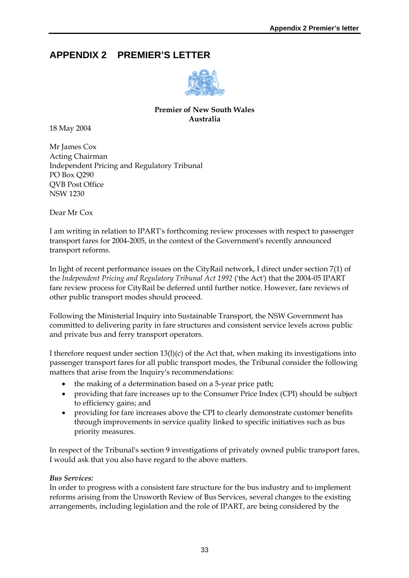# **APPENDIX 2 PREMIER'S LETTER**



#### **Premier of New South Wales Australia**

18 May 2004

Mr James Cox Acting Chairman Independent Pricing and Regulatory Tribunal PO Box Q290 QVB Post Office NSW 1230

Dear Mr Cox

I am writing in relation to IPART's forthcoming review processes with respect to passenger transport fares for 2004-2005, in the context of the Government's recently announced transport reforms.

In light of recent performance issues on the CityRail network, I direct under section 7(1) of the *Independent Pricing and Regulatory Tribunal Act 1992* ('the Act') that the 2004-05 IPART fare review process for CityRail be deferred until further notice. However, fare reviews of other public transport modes should proceed.

Following the Ministerial Inquiry into Sustainable Transport, the NSW Government has committed to delivering parity in fare structures and consistent service levels across public and private bus and ferry transport operators.

I therefore request under section  $13(l)(c)$  of the Act that, when making its investigations into passenger transport fares for all public transport modes, the Tribunal consider the following matters that arise from the Inquiry's recommendations:

- the making of a determination based on a 5-year price path;
- providing that fare increases up to the Consumer Price Index (CPI) should be subject to efficiency gains; and
- providing for fare increases above the CPI to clearly demonstrate customer benefits through improvements in service quality linked to specific initiatives such as bus priority measures.

In respect of the Tribunal's section 9 investigations of privately owned public transport fares, I would ask that you also have regard to the above matters.

#### *Bus Services:*

In order to progress with a consistent fare structure for the bus industry and to implement reforms arising from the Unsworth Review of Bus Services, several changes to the existing arrangements, including legislation and the role of IPART, are being considered by the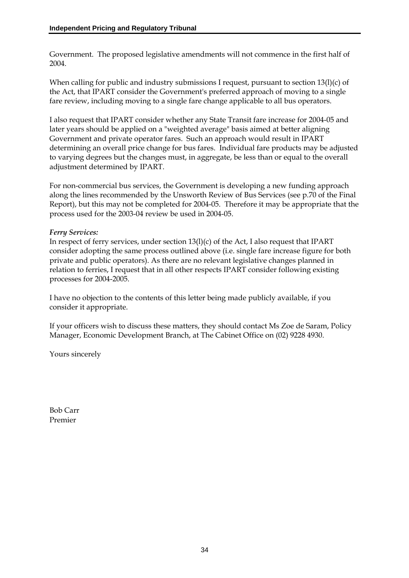Government. The proposed legislative amendments will not commence in the first half of 2004.

When calling for public and industry submissions I request, pursuant to section 13(l)(c) of the Act, that IPART consider the Government's preferred approach of moving to a single fare review, including moving to a single fare change applicable to all bus operators.

I also request that IPART consider whether any State Transit fare increase for 2004-05 and later years should be applied on a "weighted average" basis aimed at better aligning Government and private operator fares. Such an approach would result in IPART determining an overall price change for bus fares. Individual fare products may be adjusted to varying degrees but the changes must, in aggregate, be less than or equal to the overall adjustment determined by IPART.

For non-commercial bus services, the Government is developing a new funding approach along the lines recommended by the Unsworth Review of Bus Services (see p.70 of the Final Report), but this may not be completed for 2004-05. Therefore it may be appropriate that the process used for the 2003-04 review be used in 2004-05.

#### *Ferry Services:*

In respect of ferry services, under section 13(l)(c) of the Act, I also request that IPART consider adopting the same process outlined above (i.e. single fare increase figure for both private and public operators). As there are no relevant legislative changes planned in relation to ferries, I request that in all other respects IPART consider following existing processes for 2004-2005.

I have no objection to the contents of this letter being made publicly available, if you consider it appropriate.

If your officers wish to discuss these matters, they should contact Ms Zoe de Saram, Policy Manager, Economic Development Branch, at The Cabinet Office on (02) 9228 4930.

Yours sincerely

Bob Carr Premier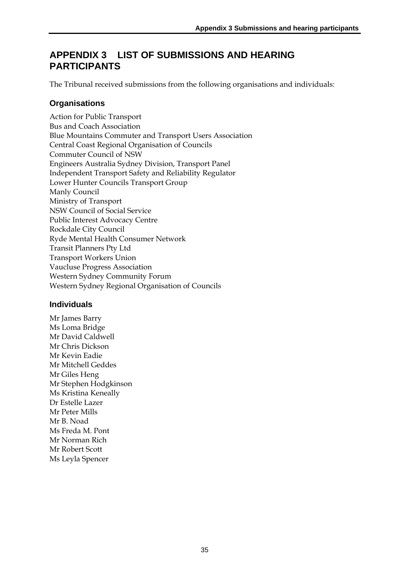# **APPENDIX 3 LIST OF SUBMISSIONS AND HEARING PARTICIPANTS**

The Tribunal received submissions from the following organisations and individuals:

### **Organisations**

Action for Public Transport Bus and Coach Association Blue Mountains Commuter and Transport Users Association Central Coast Regional Organisation of Councils Commuter Council of NSW Engineers Australia Sydney Division, Transport Panel Independent Transport Safety and Reliability Regulator Lower Hunter Councils Transport Group Manly Council Ministry of Transport NSW Council of Social Service Public Interest Advocacy Centre Rockdale City Council Ryde Mental Health Consumer Network Transit Planners Pty Ltd Transport Workers Union Vaucluse Progress Association Western Sydney Community Forum Western Sydney Regional Organisation of Councils

### **Individuals**

Mr James Barry Ms Loma Bridge Mr David Caldwell Mr Chris Dickson Mr Kevin Eadie Mr Mitchell Geddes Mr Giles Heng Mr Stephen Hodgkinson Ms Kristina Keneally Dr Estelle Lazer Mr Peter Mills Mr B. Noad Ms Freda M. Pont Mr Norman Rich Mr Robert Scott Ms Leyla Spencer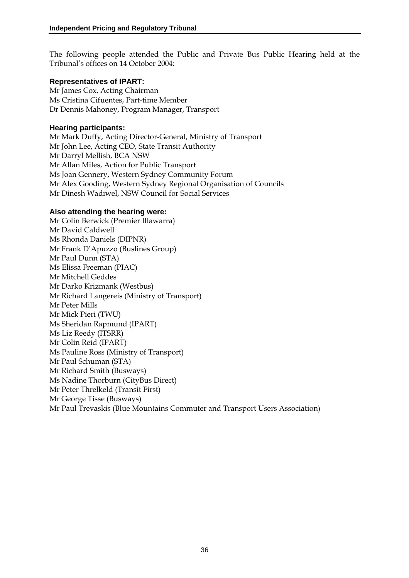The following people attended the Public and Private Bus Public Hearing held at the Tribunal's offices on 14 October 2004:

#### **Representatives of IPART:**

Mr James Cox, Acting Chairman Ms Cristina Cifuentes, Part-time Member Dr Dennis Mahoney, Program Manager, Transport

#### **Hearing participants:**

Mr Mark Duffy, Acting Director-General, Ministry of Transport Mr John Lee, Acting CEO, State Transit Authority Mr Darryl Mellish, BCA NSW Mr Allan Miles, Action for Public Transport Ms Joan Gennery, Western Sydney Community Forum Mr Alex Gooding, Western Sydney Regional Organisation of Councils Mr Dinesh Wadiwel, NSW Council for Social Services

#### **Also attending the hearing were:**

Mr Colin Berwick (Premier Illawarra) Mr David Caldwell Ms Rhonda Daniels (DIPNR) Mr Frank D'Apuzzo (Buslines Group) Mr Paul Dunn (STA) Ms Elissa Freeman (PIAC) Mr Mitchell Geddes Mr Darko Krizmank (Westbus) Mr Richard Langereis (Ministry of Transport) Mr Peter Mills Mr Mick Pieri (TWU) Ms Sheridan Rapmund (IPART) Ms Liz Reedy (ITSRR) Mr Colin Reid (IPART) Ms Pauline Ross (Ministry of Transport) Mr Paul Schuman (STA) Mr Richard Smith (Busways) Ms Nadine Thorburn (CityBus Direct) Mr Peter Threlkeld (Transit First) Mr George Tisse (Busways) Mr Paul Trevaskis (Blue Mountains Commuter and Transport Users Association)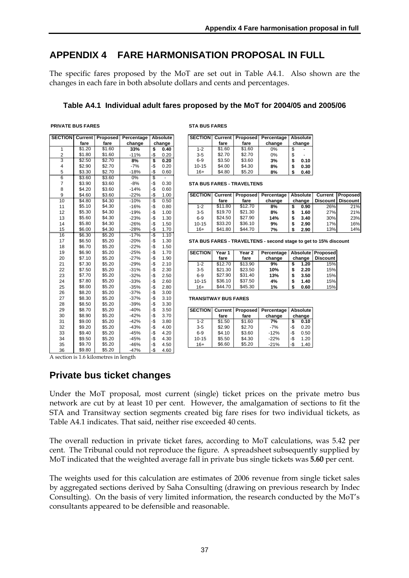### **APPENDIX 4 FARE HARMONISATION PROPOSAL IN FULL**

The specific fares proposed by the MoT are set out in Table A4.1. Also shown are the changes in each fare in both absolute dollars and cents and percentages.

#### **Table A4.1 Individual adult fares proposed by the MoT for 2004/05 and 2005/06**

| <b>PRIVATE BUS FARES</b> |  |
|--------------------------|--|

| <b>SECTION</b> | Current | Proposed | Percentage | <b>Absolute</b> |        |  |
|----------------|---------|----------|------------|-----------------|--------|--|
|                | fare    | fare     | change     |                 | change |  |
| 1              | \$1.20  | \$1.60   | 33%        | \$              | 0.40   |  |
| $\overline{c}$ | \$1.80  | \$1.60   | $-11%$     | -\$             | 0.20   |  |
| 3              | \$2.50  | \$2.70   | 8%         | \$              | 0.20   |  |
| 4              | \$2.90  | \$2.70   | $-7%$      | -\$             | 0.20   |  |
| 5              | \$3.30  | \$2.70   | $-18%$     | -\$             | 0.60   |  |
| $\overline{6}$ | \$3.60  | \$3.60   | 0%         | \$              |        |  |
| $\overline{7}$ | \$3.90  | \$3.60   | $-8%$      | -\$             | 0.30   |  |
| 8              | \$4.20  | \$3.60   | $-14%$     | -\$             | 0.60   |  |
| 9              | \$4.60  | \$3.60   | $-22%$     | -\$             | 1.00   |  |
| 10             | \$4.80  | \$4.30   | $-10%$     | -\$             | 0.50   |  |
| 11             | \$5.10  | \$4.30   | $-16%$     | -\$             | 0.80   |  |
| 12             | \$5.30  | \$4.30   | $-19%$     | -\$             | 1.00   |  |
| 13             | \$5.60  | \$4.30   | $-23%$     | -\$             | 1.30   |  |
| 14             | \$5.80  | \$4.30   | $-26%$     | -\$             | 1.50   |  |
| 15             | \$6.00  | \$4.30   | $-28%$     | $-\frac{6}{2}$  | 1.70   |  |
| 16             | \$6.30  | \$5.20   | $-17%$     | -\$             | 1.10   |  |
| 17             | \$6.50  | \$5.20   | $-20%$     | -\$             | 1.30   |  |
| 18             | \$6.70  | \$5.20   | $-22%$     | -\$             | 1.50   |  |
| 19             | \$6.90  | \$5.20   | $-25%$     | -\$             | 1.70   |  |
| 20             | \$7.10  | \$5.20   | $-27%$     | -\$             | 1.90   |  |
| 21             | \$7.30  | \$5.20   | $-29%$     | -\$             | 2.10   |  |
| 22             | \$7.50  | \$5.20   | $-31%$     | -\$             | 2.30   |  |
| 23             | \$7.70  | \$5.20   | $-32%$     | -\$             | 2.50   |  |
| 24             | \$7.80  | \$5.20   | $-33%$     | -\$             | 2.60   |  |
| 25             | \$8.00  | \$5.20   | $-35%$     | -\$             | 2.80   |  |
| 26             | \$8.20  | \$5.20   | $-37%$     | -\$             | 3.00   |  |
| 27             | \$8.30  | \$5.20   | $-37%$     | -\$             | 3.10   |  |
| 28             | \$8.50  | \$5.20   | $-39%$     | -\$             | 3.30   |  |
| 29             | \$8.70  | \$5.20   | $-40%$     | -\$             | 3.50   |  |
| 30             | \$8.90  | \$5.20   | $-42%$     | -\$             | 3.70   |  |
| 31             | \$9.00  | \$5.20   | $-42%$     | -\$             | 3.80   |  |
| 32             | \$9.20  | \$5.20   | $-43%$     | -\$             | 4.00   |  |
| 33             | \$9.40  | \$5.20   | $-45%$     | -\$             | 4.20   |  |
| 34             | \$9.50  | \$5.20   | $-45%$     | -\$             | 4.30   |  |
| 35             | \$9.70  | \$5.20   | $-46%$     | -\$             | 4.50   |  |
| 36             | \$9.80  | \$5.20   | $-47%$     | -\$             | 4.60   |  |

**STA BUS FARES** 

|                |                | SECTION   Current   Proposed   Percentage | <b>Absolute</b> |           |        |        | SECTION Current   Proposed   Percentage   Absolute |        |
|----------------|----------------|-------------------------------------------|-----------------|-----------|--------|--------|----------------------------------------------------|--------|
| fare           | fare           | change                                    | change          |           | fare   | fare   | change                                             | change |
| \$1.20         | \$1.60         | 33%                                       | 0.40            | $1 - 2$   | \$1.60 | \$1.60 | 0%                                                 |        |
| \$1.80         | \$1.60         | $-11%$                                    | 0.20            | $3 - 5$   | \$2.70 | \$2.70 | 0%                                                 |        |
| \$2.50         | \$2.70         | 8%                                        | 0.20            | 6-9       | \$3.50 | \$3.60 | 3%                                                 | 0.10   |
| \$2.90         | \$2.70         | $-7%$                                     | 0.20            | $10 - 15$ | \$4.00 | \$4.30 | 8%                                                 | 0.30   |
| \$3.30         | \$2.70         | $-18%$                                    | 0.60            | $16+$     | \$4.80 | \$5.20 | 8%                                                 | 0.40   |
| 0 <sub>0</sub> | 0 <sup>0</sup> | $\sim$                                    |                 |           |        |        |                                                    |        |

**STA BUS FARES - TRAVELTENS** 

|    |        | .      |        |   |      |                |         |                           |            |          |          |                 |
|----|--------|--------|--------|---|------|----------------|---------|---------------------------|------------|----------|----------|-----------------|
| 9  | \$4.60 | \$3.60 | $-22%$ |   | .00. | <b>SECTION</b> |         | <b>Current   Proposed</b> | Percentage | Absolute | Current  | Proposed        |
| 10 | \$4.80 | \$4.30 | $-10%$ | ∩ | 0.50 |                | fare    | fare                      | change     | change   | Discount | <b>Discount</b> |
| 11 | \$5.10 | \$4.30 | $-16%$ |   | 0.80 | 1-2            | \$11.80 | \$12.70                   | 8%         | 0.90     | 26%      | 21%             |
| 12 | \$5.30 | \$4.30 | $-19%$ |   | .00. | $3 - 5$        | \$19.70 | \$21.30                   | 8%         | .60      | 27%      | 21%             |
| 13 | \$5.60 | \$4.30 | $-23%$ |   | .30  | $6-9$          | \$24.50 | \$27.90                   | 14%        | 3.40     | 30%      | 23%             |
| 14 | \$5.80 | \$4.30 | $-26%$ |   | .50  | 10-15          | \$33.20 | \$36.10                   | 9%         | 2.90     | 17%      | 16%             |
| 15 | \$6.00 | \$4.30 | $-28%$ |   | .70  | $16+$          | \$41.80 | \$44.70                   | 7%         | 2.90     | 13%      | 14%             |

STA BUS FARES - TRAVELTENS - second stage to get to 15% discount

| 19     | \$6.90        | \$5.20  | $-25%$               |               | .70           | <b>SECTION</b> | Year    | Year 2  | Percentage I |        | Absolute   Proposed |
|--------|---------------|---------|----------------------|---------------|---------------|----------------|---------|---------|--------------|--------|---------------------|
| 20     | \$7.10        | \$5.20  | $-27%$               |               | .90           |                | fare    | fare    | change       | change | <b>Discount</b>     |
| 21     | \$7.30        | \$5.20  | $-29%$               |               | 2.10          | $1 - 2$        | \$12.70 | \$13.90 | 9%           | 1.20   | 15%                 |
| 22     | \$7.50        | \$5.20  | $-31%$               |               | 2.30          | $3 - 5$        | \$21.30 | \$23.50 | 10%          | 2.20   | 15%                 |
| 23     | \$7.70        | \$5.20  | $-32%$               |               | 2.50          | $6-9$          | \$27.90 | \$31.40 | 13%          | 3.50   | 15%                 |
| 24     | \$7.80        | \$5.20  | $-33%$               |               | 2.60          | $10 - 15$      | \$36.10 | \$37.50 | 4%           | 1.40   | 15%                 |
| 25     | \$8.00        | \$5.20  | $-35%$               |               | 2.80          | $16+$          | \$44.70 | \$45.30 | 1%           | 0.60   | 15%                 |
| $\sim$ | $\sim$ $\sim$ | $A - A$ | $\sim$ $\sim$ $\sim$ | $\rightarrow$ | $\sim$ $\sim$ |                |         |         |              |        |                     |

27 \$8.30 \$5.20 -37% 3.10 -\$ **TRANSITWAY BUS FARES**

| -- | -----  | ----   | <b>0000</b> |     | v.vv |                 |                |        |                            |            |       |
|----|--------|--------|-------------|-----|------|-----------------|----------------|--------|----------------------------|------------|-------|
| 29 | \$8.70 | \$5.20 | $-40%$      | -\$ | 3.50 | <b>SECTIONI</b> | <b>Current</b> |        | <b>Proposed Percentage</b> | Absolute I |       |
| 30 | \$8.90 | \$5.20 | $-42%$      | -\$ | 3.70 |                 | fare           | fare   | change                     | change     |       |
| 31 | \$9.00 | \$5.20 | $-42%$      |     | 3.80 | $1 - 2$         | \$1.50         | \$1.60 | 7%                         |            | 0.10  |
| 32 | \$9.20 | \$5.20 | $-43%$      | -\$ | 4.00 | 3-5             | \$2.90         | \$2.70 | $-7%$                      | -\$        | 0.20  |
| 33 | \$9.40 | \$5.20 | $-45%$      | -\$ | 4.20 | $6-9$           | \$4.10         | \$3.60 | $-12%$                     | -\$        | 0.50  |
| 34 | \$9.50 | \$5.20 | $-45%$      | -\$ | 4.30 | $10 - 15$       | \$5.50         | \$4.30 | $-22%$                     | -\$        | 1.20  |
| 35 | \$9.70 | \$5.20 | $-46%$      |     | 4.50 | $16+$           | \$6.60         | \$5.20 | $-21%$                     | -\$        | . .40 |

A section is 1.6 kilometres in length

### **Private bus ticket changes**

Under the MoT proposal, most current (single) ticket prices on the private metro bus network are cut by at least 10 per cent. However, the amalgamation of sections to fit the STA and Transitway section segments created big fare rises for two individual tickets, as Table A4.1 indicates. That said, neither rise exceeded 40 cents.

The overall reduction in private ticket fares, according to MoT calculations, was 5.42 per cent. The Tribunal could not reproduce the figure. A spreadsheet subsequently supplied by MoT indicated that the weighted average fall in private bus single tickets was **5.60** per cent.

The weights used for this calculation are estimates of 2006 revenue from single ticket sales by aggregated sections derived by Saha Consulting (drawing on previous research by Indec Consulting). On the basis of very limited information, the research conducted by the MoT's consultants appeared to be defensible and reasonable.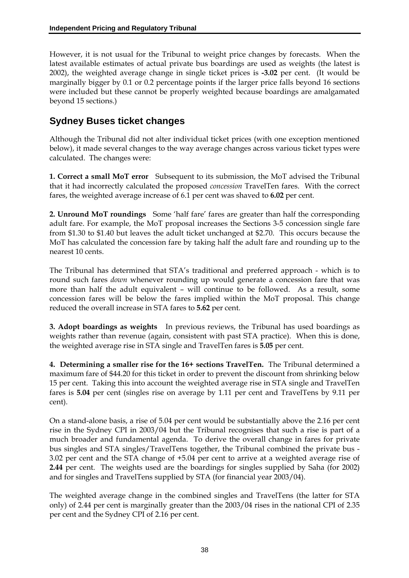However, it is not usual for the Tribunal to weight price changes by forecasts. When the latest available estimates of actual private bus boardings are used as weights (the latest is 2002), the weighted average change in single ticket prices is **-3.02** per cent. (It would be marginally bigger by 0.1 or 0.2 percentage points if the larger price falls beyond 16 sections were included but these cannot be properly weighted because boardings are amalgamated beyond 15 sections.)

# **Sydney Buses ticket changes**

Although the Tribunal did not alter individual ticket prices (with one exception mentioned below), it made several changes to the way average changes across various ticket types were calculated. The changes were:

**1. Correct a small MoT error** Subsequent to its submission, the MoT advised the Tribunal that it had incorrectly calculated the proposed *concession* TravelTen fares. With the correct fares, the weighted average increase of 6.1 per cent was shaved to **6.02** per cent.

**2. Unround MoT roundings** Some 'half fare' fares are greater than half the corresponding adult fare. For example, the MoT proposal increases the Sections 3-5 concession single fare from \$1.30 to \$1.40 but leaves the adult ticket unchanged at \$2.70. This occurs because the MoT has calculated the concession fare by taking half the adult fare and rounding up to the nearest 10 cents.

The Tribunal has determined that STA's traditional and preferred approach - which is to round such fares *down* whenever rounding up would generate a concession fare that was more than half the adult equivalent – will continue to be followed. As a result, some concession fares will be below the fares implied within the MoT proposal. This change reduced the overall increase in STA fares to **5.62** per cent.

**3. Adopt boardings as weights** In previous reviews, the Tribunal has used boardings as weights rather than revenue (again, consistent with past STA practice). When this is done, the weighted average rise in STA single and TravelTen fares is **5.05** per cent.

**4. Determining a smaller rise for the 16+ sections TravelTen.** The Tribunal determined a maximum fare of \$44.20 for this ticket in order to prevent the discount from shrinking below 15 per cent. Taking this into account the weighted average rise in STA single and TravelTen fares is **5.04** per cent (singles rise on average by 1.11 per cent and TravelTens by 9.11 per cent).

On a stand-alone basis, a rise of 5.04 per cent would be substantially above the 2.16 per cent rise in the Sydney CPI in 2003/04 but the Tribunal recognises that such a rise is part of a much broader and fundamental agenda. To derive the overall change in fares for private bus singles and STA singles/TravelTens together, the Tribunal combined the private bus - 3.02 per cent and the STA change of +5.04 per cent to arrive at a weighted average rise of **2.44** per cent. The weights used are the boardings for singles supplied by Saha (for 2002) and for singles and TravelTens supplied by STA (for financial year 2003/04).

The weighted average change in the combined singles and TravelTens (the latter for STA only) of 2.44 per cent is marginally greater than the 2003/04 rises in the national CPI of 2.35 per cent and the Sydney CPI of 2.16 per cent.